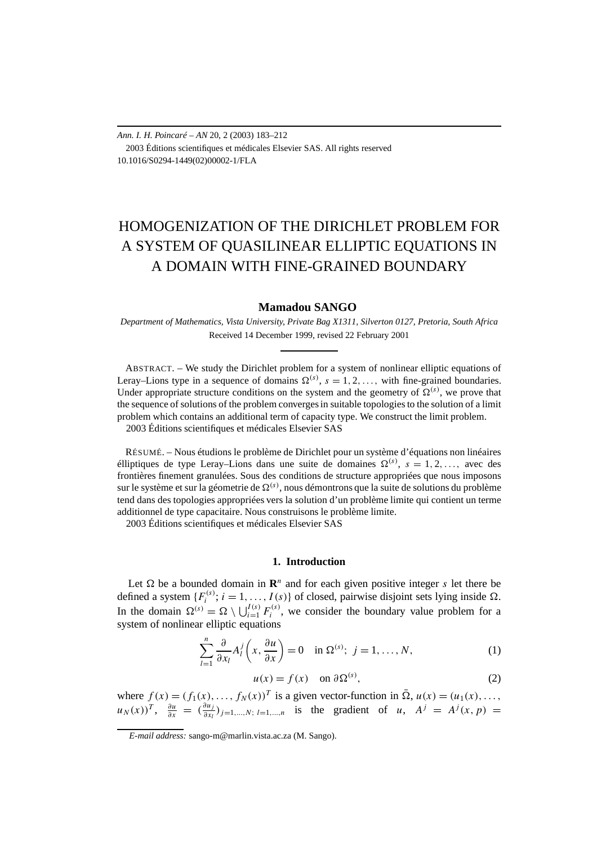*Ann. I. H. Poincaré – AN* 20, 2 (2003) 183–212 2003 Éditions scientifiques et médicales Elsevier SAS. All rights reserved 10.1016/S0294-1449(02)00002-1/FLA

# HOMOGENIZATION OF THE DIRICHLET PROBLEM FOR A SYSTEM OF QUASILINEAR ELLIPTIC EQUATIONS IN A DOMAIN WITH FINE-GRAINED BOUNDARY

## **Mamadou SANGO**

*Department of Mathematics, Vista University, Private Bag X1311, Silverton 0127, Pretoria, South Africa* Received 14 December 1999, revised 22 February 2001

ABSTRACT. – We study the Dirichlet problem for a system of nonlinear elliptic equations of Leray–Lions type in a sequence of domains  $\Omega^{(s)}$ ,  $s = 1, 2, \ldots$ , with fine-grained boundaries. Under appropriate structure conditions on the system and the geometry of  $\Omega^{(s)}$ , we prove that the sequence of solutions of the problem converges in suitable topologies to the solution of a limit problem which contains an additional term of capacity type. We construct the limit problem. 2003 Éditions scientifiques et médicales Elsevier SAS

RÉSUMÉ. – Nous étudions le problème de Dirichlet pour un système d'équations non linéaires élliptiques de type Leray–Lions dans une suite de domaines  $\Omega^{(s)}$ ,  $s = 1, 2, \ldots$ , avec des frontières finement granulées. Sous des conditions de structure appropriées que nous imposons sur le système et sur la géometrie de  $\Omega^{(s)}$ , nous démontrons que la suite de solutions du problème tend dans des topologies appropriées vers la solution d'un problème limite qui contient un terme additionnel de type capacitaire. Nous construisons le problème limite. 2003 Éditions scientifiques et médicales Elsevier SAS

**1. Introduction**

Let  $\Omega$  be a bounded domain in  $\mathbb{R}^n$  and for each given positive integer *s* let there be defined a system  $\{F_i^{(s)}; i = 1, ..., I(s)\}$  of closed, pairwise disjoint sets lying inside  $\Omega$ . In the domain  $\Omega^{(s)} = \Omega \setminus \bigcup_{i=1}^{I(s)} F_i^{(s)}$ , we consider the boundary value problem for a system of nonlinear elliptic equations

$$
\sum_{l=1}^{n} \frac{\partial}{\partial x_l} A_l^j \left( x, \frac{\partial u}{\partial x} \right) = 0 \quad \text{in } \Omega^{(s)}; \ j = 1, \dots, N,
$$
 (1)

$$
u(x) = f(x) \quad \text{on } \partial \Omega^{(s)},
$$
 (2)

where  $f(x) = (f_1(x), \ldots, f_N(x))^T$  is a given vector-function in  $\overline{\Omega}$ ,  $u(x) = (u_1(x), \ldots,$  $u_N(x))^T$ ,  $\frac{\partial u}{\partial x} = \left(\frac{\partial u_j}{\partial x_l}\right)$  $\frac{\partial u_j}{\partial x_l}$ )<sub>*j*=1*,...,N*; *l*=1*,...,n* is the gradient of *u*,  $A^j = A^j(x, p) =$ </sub>

*E-mail address:* sango-m@marlin.vista.ac.za (M. Sango).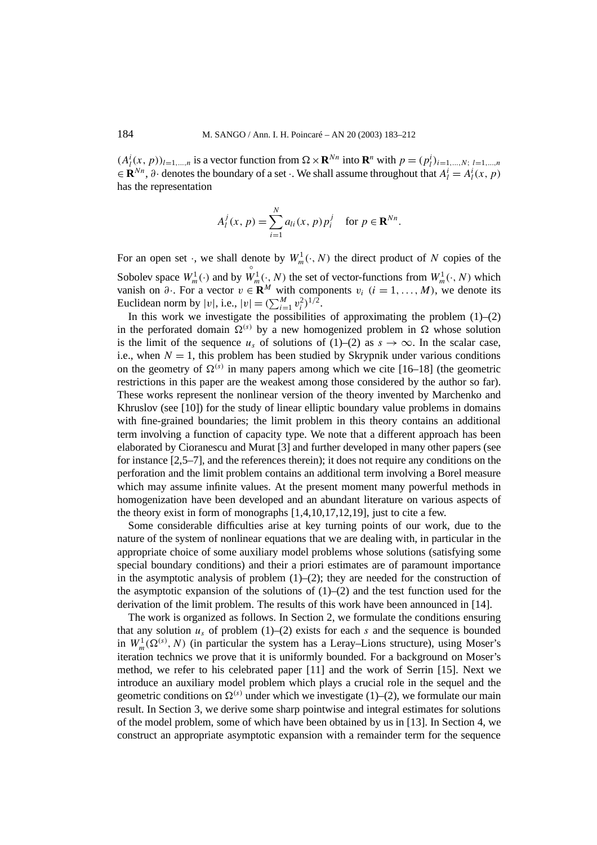$(A_l^i(x, p))_{l=1,\dots,n}$  is a vector function from  $\Omega \times \mathbf{R}^{Nn}$  into  $\mathbf{R}^n$  with  $p = (p_l^i)_{i=1,\dots,N; l=1,\dots,n}$  $\in \mathbb{R}^{Nn}$ ,  $\partial \cdot$  denotes the boundary of a set  $\cdot$ . We shall assume throughout that  $A_l^i = A_l^i(x, p)$ has the representation

$$
A_l^j(x, p) = \sum_{i=1}^N a_{li}(x, p) p_i^j
$$
 for  $p \in \mathbf{R}^{Nn}$ .

For an open set  $\cdot$ , we shall denote by  $W_m^1(\cdot, N)$  the direct product of N copies of the Sobolev space  $W_m^1(\cdot)$  and by  $W_m^1(\cdot, N)$  the set of vector-functions from  $W_m^1(\cdot, N)$  which vanish on  $\partial$ . For a vector  $v \in \mathbf{R}^M$  with components  $v_i$   $(i = 1, ..., M)$ , we denote its Euclidean norm by  $|v|$ , i.e.,  $|v| = (\sum_{i=1}^{M} v_i^2)^{1/2}$ .

In this work we investigate the possibilities of approximating the problem  $(1)$ – $(2)$ in the perforated domain  $\Omega^{(s)}$  by a new homogenized problem in  $\Omega$  whose solution is the limit of the sequence  $u_s$  of solutions of (1)–(2) as  $s \to \infty$ . In the scalar case, i.e., when  $N = 1$ , this problem has been studied by Skrypnik under various conditions on the geometry of  $\Omega^{(s)}$  in many papers among which we cite [16–18] (the geometric restrictions in this paper are the weakest among those considered by the author so far). These works represent the nonlinear version of the theory invented by Marchenko and Khruslov (see [10]) for the study of linear elliptic boundary value problems in domains with fine-grained boundaries; the limit problem in this theory contains an additional term involving a function of capacity type. We note that a different approach has been elaborated by Cioranescu and Murat [3] and further developed in many other papers (see for instance [2,5–7], and the references therein); it does not require any conditions on the perforation and the limit problem contains an additional term involving a Borel measure which may assume infinite values. At the present moment many powerful methods in homogenization have been developed and an abundant literature on various aspects of the theory exist in form of monographs [1,4,10,17,12,19], just to cite a few.

Some considerable difficulties arise at key turning points of our work, due to the nature of the system of nonlinear equations that we are dealing with, in particular in the appropriate choice of some auxiliary model problems whose solutions (satisfying some special boundary conditions) and their a priori estimates are of paramount importance in the asymptotic analysis of problem  $(1)$ – $(2)$ ; they are needed for the construction of the asymptotic expansion of the solutions of  $(1)$ – $(2)$  and the test function used for the derivation of the limit problem. The results of this work have been announced in [14].

The work is organized as follows. In Section 2, we formulate the conditions ensuring that any solution  $u_s$  of problem (1)–(2) exists for each  $s$  and the sequence is bounded in  $W_m^1(\Omega^{(s)},N)$  (in particular the system has a Leray–Lions structure), using Moser's iteration technics we prove that it is uniformly bounded. For a background on Moser's method, we refer to his celebrated paper [11] and the work of Serrin [15]. Next we introduce an auxiliary model problem which plays a crucial role in the sequel and the geometric conditions on  $\Omega^{(s)}$  under which we investigate (1)–(2), we formulate our main result. In Section 3, we derive some sharp pointwise and integral estimates for solutions of the model problem, some of which have been obtained by us in [13]. In Section 4, we construct an appropriate asymptotic expansion with a remainder term for the sequence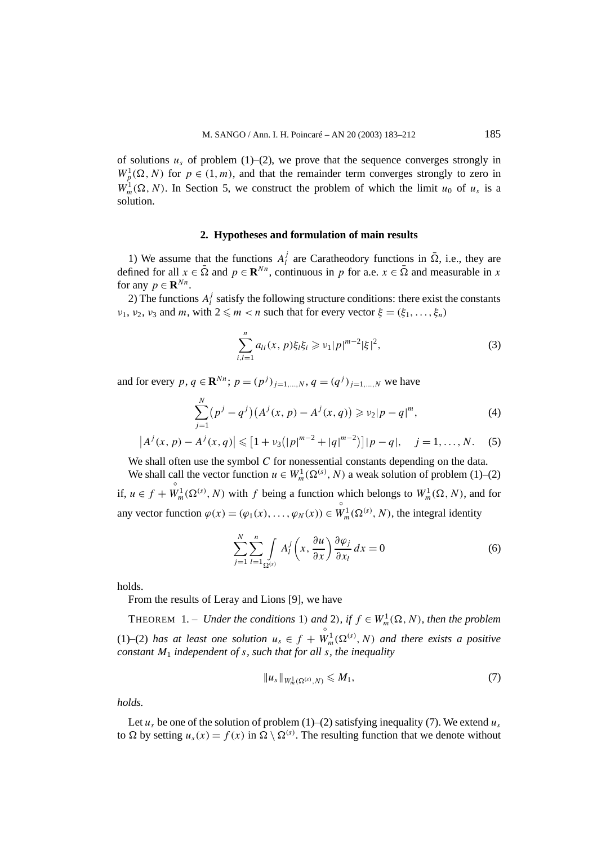of solutions  $u_s$  of problem (1)–(2), we prove that the sequence converges strongly in  $W_p^1(\Omega, N)$  for  $p \in (1, m)$ , and that the remainder term converges strongly to zero in  $W_m^1(\Omega, N)$ . In Section 5, we construct the problem of which the limit  $u_0$  of  $u_s$  is a solution.

### **2. Hypotheses and formulation of main results**

1) We assume that the functions  $A_l^j$  are Caratheodory functions in  $\overline{\Omega}$ , i.e., they are defined for all  $x \in \overline{\Omega}$  and  $p \in \mathbf{R}^{Nn}$ , continuous in p for a.e.  $x \in \overline{\Omega}$  and measurable in x for any  $p \in \mathbf{R}^{Nn}$ .

2) The functions  $A_l^j$  satisfy the following structure conditions: there exist the constants *ν*<sub>1</sub>, *ν*<sub>2</sub>, *ν*<sub>3</sub> and *m*, with  $2 \le m < n$  such that for every vector  $\xi = (\xi_1, \ldots, \xi_n)$ 

$$
\sum_{i,l=1}^{n} a_{li}(x, p)\xi_l \xi_i \geqslant \nu_1 |p|^{m-2} |\xi|^2,
$$
\n(3)

and for every  $p, q \in \mathbb{R}^{Nn}$ ;  $p = (p^j)_{j=1,...,N}$ ,  $q = (q^j)_{j=1,...,N}$  we have

$$
\sum_{j=1}^{N} (p^{j} - q^{j})(A^{j}(x, p) - A^{j}(x, q)) \geq v_{2}|p - q|^{m}, \qquad (4)
$$

$$
|A^{j}(x, p) - A^{j}(x, q)| \leq [1 + \nu_{3}(|p|^{m-2} + |q|^{m-2})]|p - q|, \quad j = 1, ..., N.
$$
 (5)

We shall often use the symbol *C* for nonessential constants depending on the data.

We shall call the vector function  $u \in W_m^1(\Omega^{(s)}, N)$  a weak solution of problem (1)–(2) if,  $u \in f +$  $W_m^1(\Omega^{(s)}, N)$  with *f* being a function which belongs to  $W_m^1(\Omega, N)$ , and for any vector function  $\varphi(x) = (\varphi_1(x), \dots, \varphi_N(x)) \in W^1_m(\Omega^{(s)}, N)$ , the integral identity

$$
\sum_{j=1}^{N} \sum_{l=1}^{n} \int_{\Omega^{(s)}} A_l^j \left( x, \frac{\partial u}{\partial x} \right) \frac{\partial \varphi_j}{\partial x_l} dx = 0 \tag{6}
$$

holds.

From the results of Leray and Lions [9], we have

THEOREM 1. – *Under the conditions* 1*)* and 2*), if*  $f \in W_m^1(\Omega, N)$ *, then the problem* (1)–(2) *has at least one solution*  $u_s \in f$  +  $\overset{\circ}{W}_{m}^{1}(\Omega^{(s)},N)$  *and there exists a positive constant M*<sup>1</sup> *independent of s, such that for all s, the inequality*

$$
||u_{s}||_{W_{m}^{1}(\Omega^{(s)}, N)} \leq M_{1},
$$
\n(7)

*holds.*

Let  $u_s$  be one of the solution of problem (1)–(2) satisfying inequality (7). We extend  $u_s$ to  $\Omega$  by setting  $u_s(x) = f(x)$  in  $\Omega \setminus \Omega^{(s)}$ . The resulting function that we denote without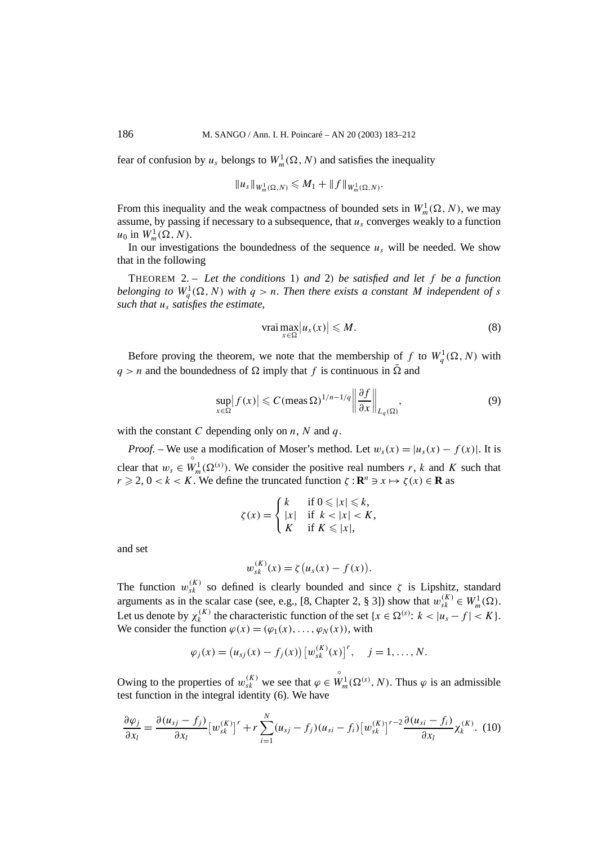fear of confusion by  $u_s$  belongs to  $W_m^1(\Omega, N)$  and satisfies the inequality

$$
||u_s||_{W_m^1(\Omega,N)} \leq M_1 + ||f||_{W_m^1(\Omega,N)}.
$$

From this inequality and the weak compactness of bounded sets in  $W_m^1(\Omega, N)$ , we may assume, by passing if necessary to a subsequence, that  $u_s$  converges weakly to a function  $u_0$  in  $W_m^1(\Omega, N)$ .

In our investigations the boundedness of the sequence  $u_s$  will be needed. We show that in the following

THEOREM 2. – *Let the conditions* 1*) and* 2*) be satisfied and let f be a function belonging to*  $W_q^1(\Omega, N)$  *with*  $q > n$ . Then there exists a constant M independent of s *such that us satisfies the estimate,*

$$
\text{vrai} \max_{x \in \Omega} |u_s(x)| \leqslant M. \tag{8}
$$

Before proving the theorem, we note that the membership of f to  $W_q^1(\Omega, N)$  with  $q > n$  and the boundedness of  $\Omega$  imply that *f* is continuous in  $\overline{\Omega}$  and

$$
\sup_{x \in \Omega} |f(x)| \leqslant C(\text{meas } \Omega)^{1/n - 1/q} \left\| \frac{\partial f}{\partial x} \right\|_{L_q(\Omega)},\tag{9}
$$

with the constant *C* depending only on *n*, *N* and *q*.

*Proof.* – We use a modification of Moser's method. Let  $w_s(x) = |u_s(x) - f(x)|$ . It is clear that  $w_s \in$  $\hat{W}_m^1(\Omega^{(s)})$ . We consider the positive real numbers *r*, *k* and *K* such that  $r \ge 2$ ,  $0 < k < K$ . We define the truncated function  $\zeta : \mathbb{R}^n \ni x \mapsto \zeta(x) \in \mathbb{R}$  as

$$
\zeta(x) = \begin{cases} k & \text{if } 0 \leqslant |x| \leqslant k, \\ |x| & \text{if } k < |x| < K, \\ K & \text{if } K \leqslant |x|, \end{cases}
$$

and set

$$
w_{sk}^{(K)}(x) = \zeta \big( u_s(x) - f(x) \big).
$$

The function  $w_{sk}^{(K)}$  so defined is clearly bounded and since  $\zeta$  is Lipshitz, standard arguments as in the scalar case (see, e.g., [8, Chapter 2, § 3]) show that  $w_{sk}^{(K)} \in W_m^1(\Omega)$ . Let us denote by  $\chi_k^{(K)}$  the characteristic function of the set  $\{x \in \Omega^{(s)}: k < |u_s - f| < K\}$ . We consider the function  $\varphi(x) = (\varphi_1(x), \dots, \varphi_N(x))$ , with

$$
\varphi_j(x) = (u_{sj}(x) - f_j(x)) [w_{sk}^{(K)}(x)]^r, \quad j = 1, ..., N.
$$

Owing to the properties of  $w_{sk}^{(K)}$  we see that  $\varphi \in$  $\overset{\circ}{W}_m^1(\Omega^{(s)}, N)$ . Thus  $\varphi$  is an admissible test function in the integral identity (6). We have

$$
\frac{\partial \varphi_j}{\partial x_l} = \frac{\partial (u_{sj} - f_j)}{\partial x_l} \left[ w_{sk}^{(K)} \right]^r + r \sum_{i=1}^N (u_{sj} - f_j) (u_{si} - f_i) \left[ w_{sk}^{(K)} \right]^{r-2} \frac{\partial (u_{si} - f_i)}{\partial x_l} \chi_k^{(K)}.
$$
 (10)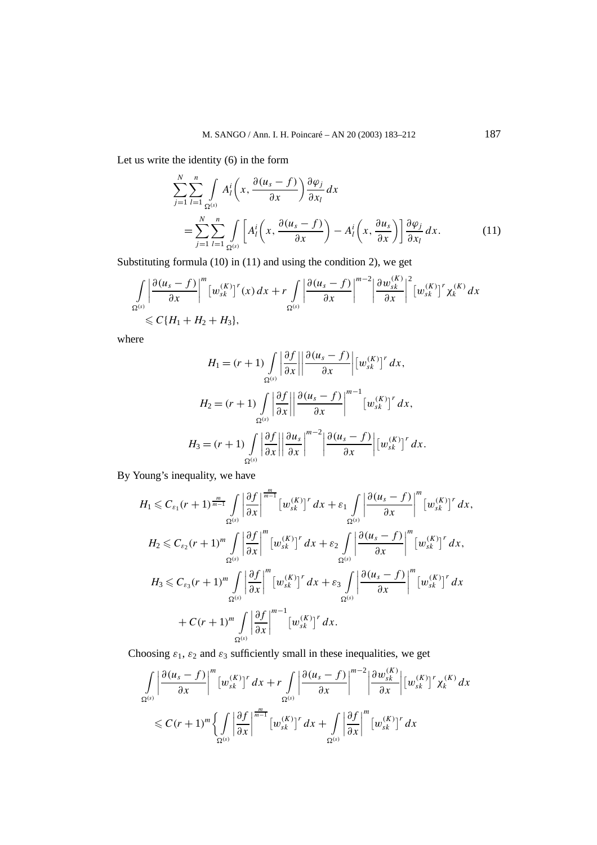Let us write the identity (6) in the form

$$
\sum_{j=1}^{N} \sum_{l=1}^{n} \int_{\Omega^{(s)}} A_{l}^{i} \left(x, \frac{\partial(u_{s}-f)}{\partial x}\right) \frac{\partial \varphi_{j}}{\partial x_{l}} dx
$$
\n
$$
= \sum_{j=1}^{N} \sum_{l=1}^{n} \int_{\Omega^{(s)}} \left[ A_{l}^{i} \left(x, \frac{\partial(u_{s}-f)}{\partial x}\right) - A_{l}^{i} \left(x, \frac{\partial u_{s}}{\partial x}\right) \right] \frac{\partial \varphi_{j}}{\partial x_{l}} dx.
$$
\n(11)

Substituting formula (10) in (11) and using the condition 2), we get

$$
\int_{\Omega^{(s)}} \left| \frac{\partial (u_s - f)}{\partial x} \right|^m \left[ w_{sk}^{(K)} \right]^r(x) dx + r \int_{\Omega^{(s)}} \left| \frac{\partial (u_s - f)}{\partial x} \right|^{m-2} \left| \frac{\partial w_{sk}^{(K)}}{\partial x} \right|^2 \left[ w_{sk}^{(K)} \right]^r \chi_k^{(K)} dx
$$
  
\$\leq C\{H\_1 + H\_2 + H\_3\},

where

$$
H_1 = (r+1) \int_{\Omega^{(s)}} \left| \frac{\partial f}{\partial x} \right| \left| \frac{\partial (u_s - f)}{\partial x} \right| [w_{sk}^{(K)}]^r dx,
$$
  

$$
H_2 = (r+1) \int_{\Omega^{(s)}} \left| \frac{\partial f}{\partial x} \right| \left| \frac{\partial (u_s - f)}{\partial x} \right|^{m-1} [w_{sk}^{(K)}]^r dx,
$$
  

$$
H_3 = (r+1) \int_{\Omega^{(s)}} \left| \frac{\partial f}{\partial x} \right| \left| \frac{\partial u_s}{\partial x} \right|^{m-2} \left| \frac{\partial (u_s - f)}{\partial x} \right| [w_{sk}^{(K)}]^r dx.
$$

By Young's inequality, we have

$$
H_{1} \leq C_{\varepsilon_{1}}(r+1)^{\frac{m}{m-1}} \int_{\Omega^{(s)}} \left| \frac{\partial f}{\partial x} \right|^{m} [w_{sk}^{(K)}]^{r} dx + \varepsilon_{1} \int_{\Omega^{(s)}} \left| \frac{\partial (u_{s}-f)}{\partial x} \right|^{m} [w_{sk}^{(K)}]^{r} dx,
$$
  
\n
$$
H_{2} \leq C_{\varepsilon_{2}}(r+1)^{m} \int_{\Omega^{(s)}} \left| \frac{\partial f}{\partial x} \right|^{m} [w_{sk}^{(K)}]^{r} dx + \varepsilon_{2} \int_{\Omega^{(s)}} \left| \frac{\partial (u_{s}-f)}{\partial x} \right|^{m} [w_{sk}^{(K)}]^{r} dx,
$$
  
\n
$$
H_{3} \leq C_{\varepsilon_{3}}(r+1)^{m} \int_{\Omega^{(s)}} \left| \frac{\partial f}{\partial x} \right|^{m} [w_{sk}^{(K)}]^{r} dx + \varepsilon_{3} \int_{\Omega^{(s)}} \left| \frac{\partial (u_{s}-f)}{\partial x} \right|^{m} [w_{sk}^{(K)}]^{r} dx
$$
  
\n
$$
+ C(r+1)^{m} \int_{\Omega^{(s)}} \left| \frac{\partial f}{\partial x} \right|^{m-1} [w_{sk}^{(K)}]^{r} dx.
$$

Choosing  $\varepsilon_1$ ,  $\varepsilon_2$  and  $\varepsilon_3$  sufficiently small in these inequalities, we get

$$
\int_{\Omega^{(s)}} \left| \frac{\partial (u_s - f)}{\partial x} \right|^m \left[ w_{sk}^{(K)} \right]^r dx + r \int_{\Omega^{(s)}} \left| \frac{\partial (u_s - f)}{\partial x} \right|^{m-2} \left| \frac{\partial w_{sk}^{(K)}}{\partial x} \right| \left[ w_{sk}^{(K)} \right]^r \chi_k^{(K)} dx
$$
  

$$
\leq C(r+1)^m \left\{ \int_{\Omega^{(s)}} \left| \frac{\partial f}{\partial x} \right|^{m} \left[ w_{sk}^{(K)} \right]^r dx + \int_{\Omega^{(s)}} \left| \frac{\partial f}{\partial x} \right|^m \left[ w_{sk}^{(K)} \right]^r dx \right\}
$$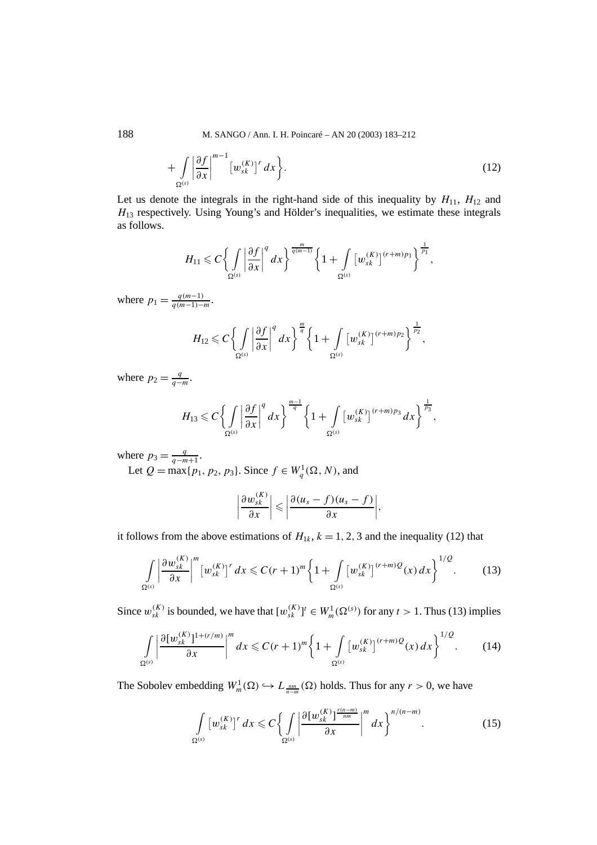$$
+\int\limits_{\Omega^{(s)}}\left|\frac{\partial f}{\partial x}\right|^{m-1}\left[w_{sk}^{(K)}\right]^{r}dx\bigg\}.
$$
\n(12)

Let us denote the integrals in the right-hand side of this inequality by  $H_{11}$ ,  $H_{12}$  and *H*<sup>13</sup> respectively. Using Young's and Hölder's inequalities, we estimate these integrals as follows.

$$
H_{11} \leqslant C \left\{ \int\limits_{\Omega^{(s)}} \left| \frac{\partial f}{\partial x} \right|^q dx \right\}^{\frac{m}{q(m-1)}} \left\{ 1 + \int\limits_{\Omega^{(s)}} \left[ w_{sk}^{(K)} \right]^{(r+m)p_1} \right\}^{\frac{1}{p_1}},
$$

where  $p_1 = \frac{q(m-1)}{q(m-1)-m}$ .

$$
H_{12} \leqslant C \bigg\{ \int\limits_{\Omega^{(s)}} \bigg| \frac{\partial f}{\partial x} \bigg|^q \, dx \bigg\}^{\frac{m}{q}} \bigg\{ 1 + \int\limits_{\Omega^{(s)}} \big[ w_{sk}^{(K)} \big]^{(r+m)p_2} \bigg\}^{\frac{1}{p_2}},
$$

where  $p_2 = \frac{q}{q - m}$ .

$$
H_{13} \leqslant C \left\{ \int\limits_{\Omega^{(s)}} \left| \frac{\partial f}{\partial x} \right|^q dx \right\}^{\frac{m-1}{q}} \left\{ 1 + \int\limits_{\Omega^{(s)}} \left[ w_{sk}^{(K)} \right]^{(r+m)p_3} dx \right\}^{\frac{1}{p_3}},
$$

where  $p_3 = \frac{q}{q - m + 1}$ .

Let *Q* = max{*p*<sub>1</sub>*, p*<sub>2</sub>*, p*<sub>3</sub>}. Since *f* ∈  $W_q^1(\Omega, N)$ *,* and

$$
\left|\frac{\partial w_{sk}^{(K)}}{\partial x}\right| \leqslant \left|\frac{\partial (u_s-f)(u_s-f)}{\partial x}\right|,
$$

it follows from the above estimations of  $H_{1k}$ ,  $k = 1, 2, 3$  and the inequality (12) that

$$
\int_{\Omega^{(s)}} \left| \frac{\partial w_{sk}^{(K)}}{\partial x} \right|^m \left[ w_{sk}^{(K)} \right]^r dx \leqslant C(r+1)^m \left\{ 1 + \int_{\Omega^{(s)}} \left[ w_{sk}^{(K)} \right]^{(r+m)} Q(x) \, dx \right\}^{1/Q}.
$$
 (13)

Since  $w_{sk}^{(K)}$  is bounded, we have that  $[w_{sk}^{(K)}]^t \in W_m^1(\Omega^{(s)})$  for any  $t > 1$ . Thus (13) implies

$$
\int_{\Omega^{(s)}} \left| \frac{\partial [w_{sk}^{(K)}]^{1+(r/m)}}{\partial x} \right|^m dx \leq C(r+1)^m \left\{ 1 + \int_{\Omega^{(s)}} \left[ w_{sk}^{(K)} \right]^{(r+m)} Q(x) dx \right\}^{1/Q}.
$$
 (14)

The Sobolev embedding  $W_m^1(\Omega) \hookrightarrow L_{\frac{nm}{n-m}}(\Omega)$  holds. Thus for any  $r > 0$ , we have

$$
\int_{\Omega^{(s)}} \left[w_{sk}^{(K)}\right]^r dx \leqslant C \left\{ \int_{\Omega^{(s)}} \left|\frac{\partial \left[w_{sk}^{(K)}\right]^{\frac{r(n-m)}{nm}}}{\partial x}\right|^m dx \right\}^{n/(n-m)}.
$$
\n(15)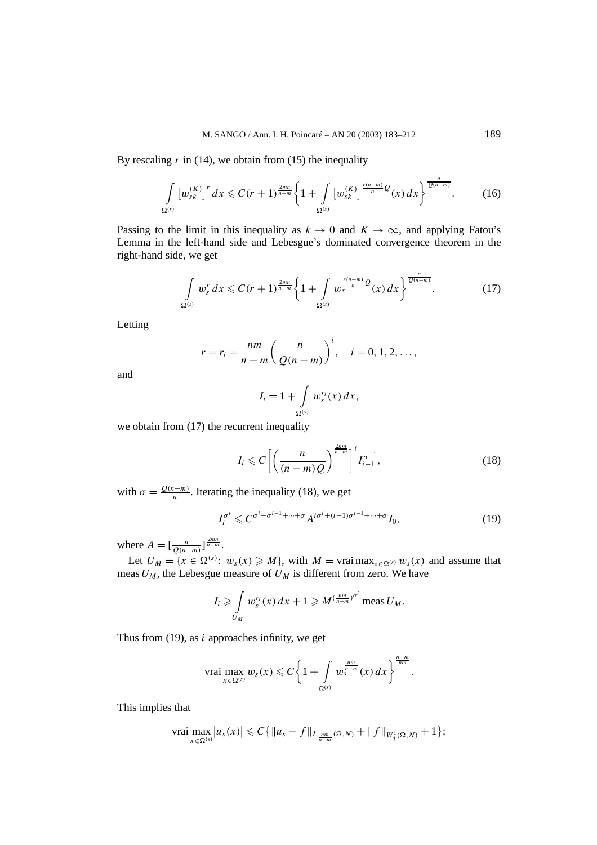By rescaling  $r$  in (14), we obtain from (15) the inequality

$$
\int_{\Omega^{(s)}} \left[w_{sk}^{(K)}\right]^{r} dx \leq C(r+1)^{\frac{2mn}{n-m}} \left\{1 + \int_{\Omega^{(s)}} \left[w_{sk}^{(K)}\right]^{\frac{r(n-m)}{n}} Q(x) dx\right\}^{\frac{n}{Q(n-m)}}. \tag{16}
$$

Passing to the limit in this inequality as  $k \to 0$  and  $K \to \infty$ , and applying Fatou's Lemma in the left-hand side and Lebesgue's dominated convergence theorem in the right-hand side, we get

$$
\int_{\Omega^{(s)}} w_s^r dx \leqslant C(r+1)^{\frac{2mn}{n-m}} \left\{ 1 + \int_{\Omega^{(s)}} w_s^{\frac{r(n-m)}{n}} Q(x) dx \right\}^{\frac{n}{Q(n-m)}}.
$$
 (17)

Letting

$$
r = r_i = \frac{nm}{n-m} \left( \frac{n}{Q(n-m)} \right)^i, \quad i = 0, 1, 2, \dots,
$$

and

$$
I_i = 1 + \int\limits_{\Omega^{(s)}} w_s^{r_i}(x) \, dx,
$$

we obtain from (17) the recurrent inequality

$$
I_i \leqslant C \left[ \left( \frac{n}{(n-m)Q} \right)^{\frac{2nm}{n-m}} \right]^i I_{i-1}^{\sigma^{-1}},\tag{18}
$$

with  $\sigma = \frac{Q(n-m)}{n}$ . Iterating the inequality (18), we get

$$
I_i^{\sigma^i} \leqslant C^{\sigma^i + \sigma^{i-1} + \dots + \sigma} A^{i\sigma^i + (i-1)\sigma^{i-1} + \dots + \sigma} I_0,
$$
\n<sup>(19)</sup>

where  $A = [\frac{n}{Q(n-m)}]^{\frac{2mn}{n-m}}$ .

Let  $U_M = \{x \in \Omega^{(s)}: w_s(x) \geq M\}$ , with  $M = \text{vrai max}_{x \in \Omega^{(s)}} w_s(x)$  and assume that meas  $U_M$ , the Lebesgue measure of  $U_M$  is different from zero. We have

$$
I_i \geqslant \int\limits_{U_M} w_s^{r_i}(x) \, dx + 1 \geqslant M^{(\frac{nm}{n-m})^{\sigma^i}} \operatorname{meas} U_M.
$$

Thus from (19), as *i* approaches infinity, we get

vrai 
$$
\max_{x \in \Omega^{(s)}} w_s(x) \leq C \left\{ 1 + \int_{\Omega^{(s)}} w_s^{\frac{n m}{n-m}}(x) dx \right\}^{\frac{n-m}{nm}}.
$$

This implies that

$$
\operatorname{vrai} \max_{x \in \Omega^{(s)}} |u_s(x)| \leqslant C \{ \|u_s - f\|_{L_{\frac{nm}{n-m}}(\Omega, N)} + \|f\|_{W_q^1(\Omega, N)} + 1 \};
$$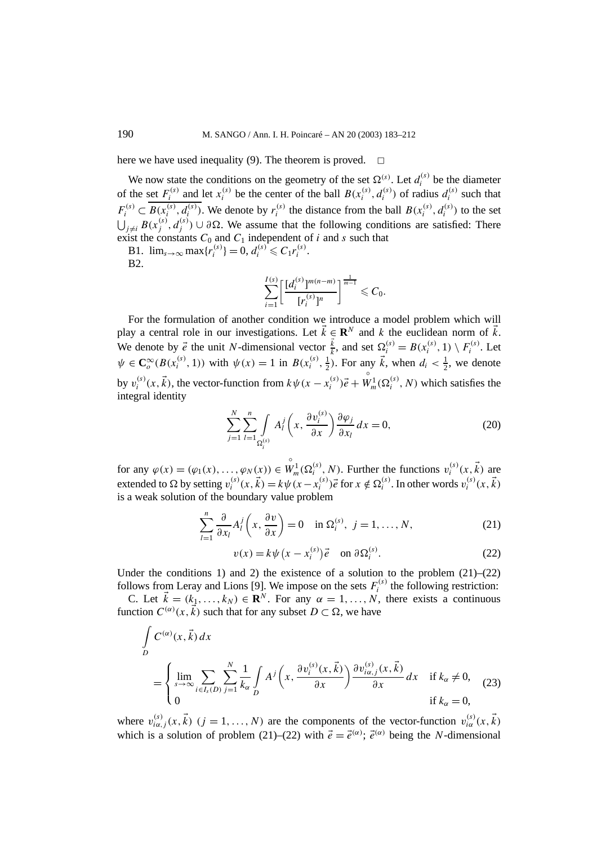here we have used inequality (9). The theorem is proved.  $\Box$ 

We now state the conditions on the geometry of the set  $\Omega^{(s)}$ . Let  $d_i^{(s)}$  be the diameter of the set  $F_i^{(s)}$  and let  $x_i^{(s)}$  be the center of the ball  $B(x_i^{(s)}, d_i^{(s)})$  of radius  $d_i^{(s)}$  such that  $F_i^{(s)} \subset B(x_i^{(s)}, d_i^{(s)})$ . We denote by  $r_i^{(s)}$  the distance from the ball  $B(x_i^{(s)}, d_i^{(s)})$  to the set  $\bigcup_{j\neq i} B(x_j^{(s)}, d_j^{(s)})$  ∪ ∂Ω. We assume that the following conditions are satisfied: There exist the constants  $C_0$  and  $C_1$  independent of *i* and *s* such that

B1.  $\lim_{s \to \infty} \max \{ r_i^{(s)} \} = 0, d_i^{(s)} \leq C_1 r_i^{(s)}$ . B2.

$$
\sum_{i=1}^{I(s)} \left[ \frac{[d_i^{(s)}]^{m(n-m)}}{[r_i^{(s)}]^{n}} \right]^{\frac{1}{m-1}} \leq C_0.
$$

For the formulation of another condition we introduce a model problem which will play a central role in our investigations. Let  $\vec{k} \in \mathbb{R}^N$  and k the euclidean norm of  $\vec{k}$ . We denote by  $\vec{e}$  the unit *N*-dimensional vector  $\frac{\vec{k}}{k}$ , and set  $\Omega_i^{(s)} = B(x_i^{(s)}, 1) \setminus F_i^{(s)}$ . Let  $\psi \in \mathbb{C}_o^{\infty}(B(x_i^{(s)}, 1))$  with  $\psi(x) = 1$  in  $B(x_i^{(s)}, \frac{1}{2})$ . For any  $\vec{k}$ , when  $d_i < \frac{1}{2}$ , we denote by  $v_i^{(s)}(x, \vec{k})$ , the vector-function from  $k\psi(x - x_i^{(s)})\vec{e}$  +  $\overrightarrow{W}_m^1(\Omega_i^{(s)}, N)$  which satisfies the integral identity

$$
\sum_{j=1}^{N} \sum_{l=1}^{n} \int_{\Omega_{i}^{(s)}} A_{l}^{j} \left(x, \frac{\partial v_{i}^{(s)}}{\partial x}\right) \frac{\partial \varphi_{j}}{\partial x_{l}} dx = 0, \qquad (20)
$$

for any  $\varphi(x) = (\varphi_1(x), \ldots, \varphi_N(x)) \in$  $W_m^1(\Omega_i^{(s)}, N)$ . Further the functions  $v_i^{(s)}(x, \vec{k})$  are extended to  $\Omega$  by setting  $v_i^{(s)}(x, \vec{k}) = k\psi(x - x_i^{(s)})\vec{e}$  for  $x \notin \Omega_i^{(s)}$ . In other words  $v_i^{(s)}(x, \vec{k})$ is a weak solution of the boundary value problem

$$
\sum_{l=1}^{n} \frac{\partial}{\partial x_l} A_l^j \left( x, \frac{\partial v}{\partial x} \right) = 0 \quad \text{in } \Omega_i^{(s)}, \ j = 1, \dots, N,
$$
 (21)

$$
v(x) = k\psi\left(x - x_i^{(s)}\right)\vec{e} \quad \text{on } \partial\Omega_i^{(s)}.
$$
 (22)

Under the conditions 1) and 2) the existence of a solution to the problem  $(21)$ – $(22)$ follows from Leray and Lions [9]. We impose on the sets  $F_i^{(s)}$  the following restriction:

C. Let  $\vec{k} = (k_1, \ldots, k_N) \in \mathbb{R}^N$ . For any  $\alpha = 1, \ldots, N$ , there exists a continuous function  $C^{(\alpha)}(x, \vec{k})$  such that for any subset  $D \subset \Omega$ , we have

$$
\int_{D} C^{(\alpha)}(x, \vec{k}) dx
$$
\n
$$
= \begin{cases}\n\lim_{s \to \infty} \sum_{i \in I_{s}(D)} \sum_{j=1}^{N} \frac{1}{k_{\alpha}} \int_{D} A^{j} \left( x, \frac{\partial v_{i}^{(s)}(x, \vec{k})}{\partial x} \right) \frac{\partial v_{i\alpha,j}^{(s)}(x, \vec{k})}{\partial x} dx & \text{if } k_{\alpha} \neq 0, \\
0 & \text{if } k_{\alpha} = 0,\n\end{cases}
$$
\n(23)

where  $v_{i\alpha,j}^{(s)}(x, \vec{k})$   $(j = 1, ..., N)$  are the components of the vector-function  $v_{i\alpha}^{(s)}(x, \vec{k})$ which is a solution of problem (21)–(22) with  $\vec{e} = \vec{e}^{(\alpha)}$ ;  $\vec{e}^{(\alpha)}$  being the *N*-dimensional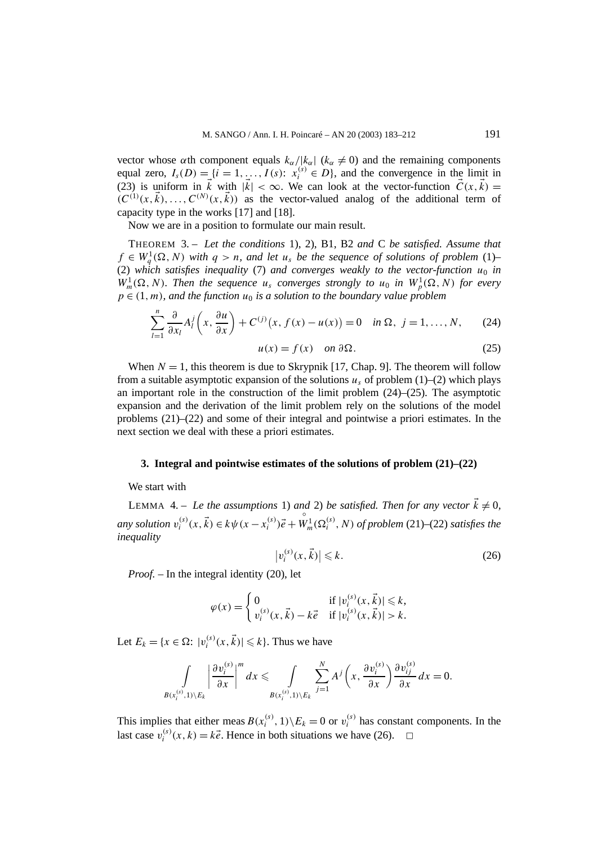vector whose  $\alpha$ th component equals  $k_\alpha/|k_\alpha|$  ( $k_\alpha \neq 0$ ) and the remaining components equal zero,  $I_s(D) = \{i = 1, \ldots, I(s): x_i^{(s)} \in D\}$ , and the convergence in the limit in (23) is uniform in  $\vec{k}$  with  $|\vec{k}| < \infty$ . We can look at the vector-function  $\vec{C}(x, \vec{k}) =$  $(C^{(1)}(x, \vec{k}), \ldots, C^{(N)}(x, \vec{k}))$  as the vector-valued analog of the additional term of capacity type in the works [17] and [18].

Now we are in a position to formulate our main result.

THEOREM 3. – *Let the conditions* 1), 2), B1, B2 *and* C *be satisfied. Assume that f* ∈  $W_q^1(\Omega, N)$  *with*  $q > n$ *, and let*  $u_s$  *be the sequence of solutions of problem* (1)– (2) which satisfies inequality (7) and converges weakly to the vector-function  $u_0$  in  $W_m^1(\Omega, N)$ . Then the sequence  $u_s$  converges strongly to  $u_0$  in  $W_p^1(\Omega, N)$  for every  $p \in (1, m)$ *, and the function*  $u_0$  *is a solution to the boundary value problem* 

$$
\sum_{l=1}^{n} \frac{\partial}{\partial x_l} A_l^j \left( x, \frac{\partial u}{\partial x} \right) + C^{(j)}(x, f(x) - u(x)) = 0 \quad \text{in } \Omega, \ j = 1, \dots, N,
$$
 (24)

$$
u(x) = f(x) \quad on \ \partial \Omega. \tag{25}
$$

When  $N = 1$ , this theorem is due to Skrypnik [17, Chap. 9]. The theorem will follow from a suitable asymptotic expansion of the solutions  $u_s$  of problem (1)–(2) which plays an important role in the construction of the limit problem  $(24)$ – $(25)$ . The asymptotic expansion and the derivation of the limit problem rely on the solutions of the model problems (21)–(22) and some of their integral and pointwise a priori estimates. In the next section we deal with these a priori estimates.

#### **3. Integral and pointwise estimates of the solutions of problem (21)–(22)**

## We start with

LEMMA 4. – Le the assumptions 1) and 2) be satisfied. Then for any vector  $\vec{k} \neq 0$ , *any solution*  $v_i^{(s)}(x, \vec{k}) \in k\psi(x - x_i^{(s)})\vec{e} +$  $W_m^1(\Omega_i^{(s)}, N)$  of problem (21)–(22) satisfies the *inequality*

$$
\left|v_i^{(s)}(x,\vec{k})\right| \leqslant k. \tag{26}
$$

*Proof. –* In the integral identity (20), let

$$
\varphi(x) = \begin{cases} 0 & \text{if } |v_i^{(s)}(x, \vec{k})| \leq k, \\ v_i^{(s)}(x, \vec{k}) - k\vec{e} & \text{if } |v_i^{(s)}(x, \vec{k})| > k. \end{cases}
$$

Let  $E_k = \{x \in \Omega: |v_i^{(s)}(x, \vec{k})| \leq k\}$ . Thus we have

$$
\int_{B(x_i^{(s)},1)\setminus E_k} \left|\frac{\partial v_i^{(s)}}{\partial x}\right|^m dx \leq \int_{B(x_i^{(s)},1)\setminus E_k} \sum_{j=1}^N A^j\left(x,\frac{\partial v_i^{(s)}}{\partial x}\right) \frac{\partial v_{ij}^{(s)}}{\partial x} dx = 0.
$$

This implies that either meas  $B(x_i^{(s)}, 1) \setminus E_k = 0$  or  $v_i^{(s)}$  has constant components. In the last case  $v_i^{(s)}(x, k) = k\vec{e}$ . Hence in both situations we have (26).  $\Box$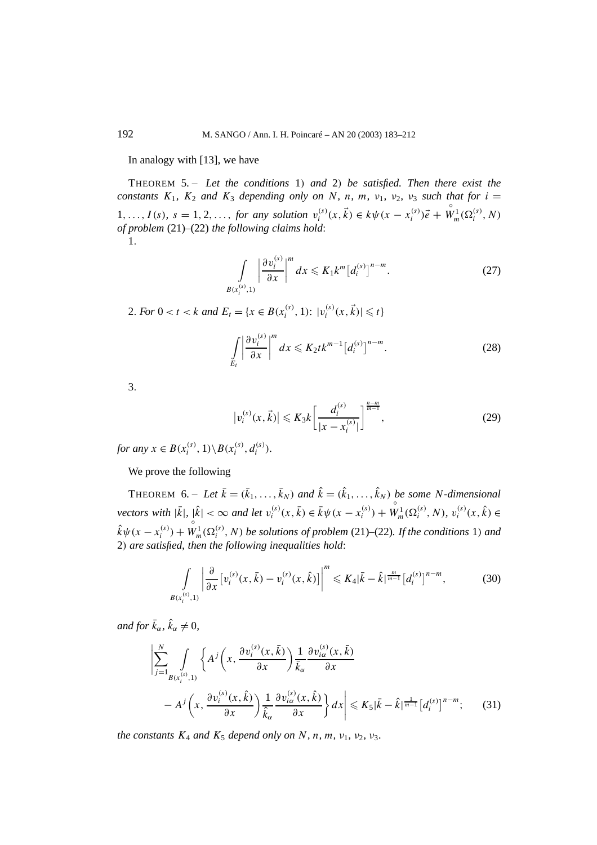In analogy with [13], we have

THEOREM 5. – *Let the conditions* 1*) and* 2*) be satisfied. Then there exist the constants*  $K_1$ ,  $K_2$  *and*  $K_3$  *depending only on N*, *n*, *m*, *v*<sub>1</sub>, *v*<sub>2</sub>, *v*<sub>3</sub> *such that for i* = 1,...,  $I(s)$ ,  $s = 1, 2, \ldots$ , for any solution  $v_i^{(s)}(x, \vec{k}) \in k\psi(x - x_i^{(s)})\vec{e}$  +  $W_m^1(\Omega_i^{(s)}, N)$ *of problem* (21)–(22) *the following claims hold*: 1*.*

$$
\int\limits_{B(x_i^{(s)},1)} \left|\frac{\partial v_i^{(s)}}{\partial x}\right|^m dx \leqslant K_1 k^m \left[d_i^{(s)}\right]^{n-m}.\tag{27}
$$

2*. For*  $0 < t < k$  *and*  $E_t = \{x \in B(x_i^{(s)}, 1) : |v_i^{(s)}(x, \vec{k})| \leq t\}$ 

$$
\int\limits_{E_l} \left| \frac{\partial v_i^{(s)}}{\partial x} \right|^m dx \leqslant K_2 t k^{m-1} \left[ d_i^{(s)} \right]^{n-m} . \tag{28}
$$

3*.*

$$
|v_i^{(s)}(x, \vec{k})| \le K_3 k \left[ \frac{d_i^{(s)}}{|x - x_i^{(s)}|} \right]^{\frac{n-m}{m-1}},\tag{29}
$$

*for any*  $x \in B(x_i^{(s)}, 1) \setminus B(x_i^{(s)}, d_i^{(s)})$ .

We prove the following

THEOREM 6. – Let  $\bar{k} = (\bar{k}_1, \ldots, \bar{k}_N)$  and  $\hat{k} = (\hat{k}_1, \ldots, \hat{k}_N)$  be some *N*-dimensional *vectors with*  $|\bar{k}|, |\hat{k}| < \infty$  *and let*  $v_i^{(s)}(x, \bar{k}) \in \bar{k}\psi(x - x_i^{(s)})$  +  $W_m^1(\Omega_i^{(s)}, N), v_i^{(s)}(x, \hat{k}) \in$  $\hat{k}\psi(x - x_i^{(s)}) +$  $W_m^1(\Omega_i^{(s)}, N)$  *be solutions of problem* (21)–(22)*. If the conditions* 1*) and* 2*) are satisfied, then the following inequalities hold*:

$$
\int_{B(x_i^{(s)},1)} \left| \frac{\partial}{\partial x} \left[ v_i^{(s)}(x,\bar{k}) - v_i^{(s)}(x,\hat{k}) \right] \right|^m \leqslant K_4 |\bar{k} - \hat{k}|^{\frac{m}{m-1}} \left[ d_i^{(s)} \right]^{n-m},\tag{30}
$$

*and for*  $\bar{k}_{\alpha}$ *,*  $\hat{k}_{\alpha} \neq 0$ *,* 

$$
\left| \sum_{j=1}^{N} \int_{B(x_i^{(s)},1)} \left\{ A^j \left( x, \frac{\partial v_i^{(s)}(x,\bar{k})}{\partial x} \right) \frac{1}{\bar{k}_{\alpha}} \frac{\partial v_{i\alpha}^{(s)}(x,\bar{k})}{\partial x} - A^j \left( x, \frac{\partial v_i^{(s)}(x,\hat{k})}{\partial x} \right) \frac{1}{\hat{k}_{\alpha}} \frac{\partial v_{i\alpha}^{(s)}(x,\hat{k})}{\partial x} \right\} dx \right| \leq K_5 |\bar{k} - \hat{k}|^{\frac{1}{m-1}} [d_i^{(s)}]^{n-m}; \quad (31)
$$

*the constants*  $K_4$  *and*  $K_5$  *depend only on*  $N$ *, n, m, v*<sub>1</sub>*, v*<sub>2</sub>*, v*<sub>3</sub>*.*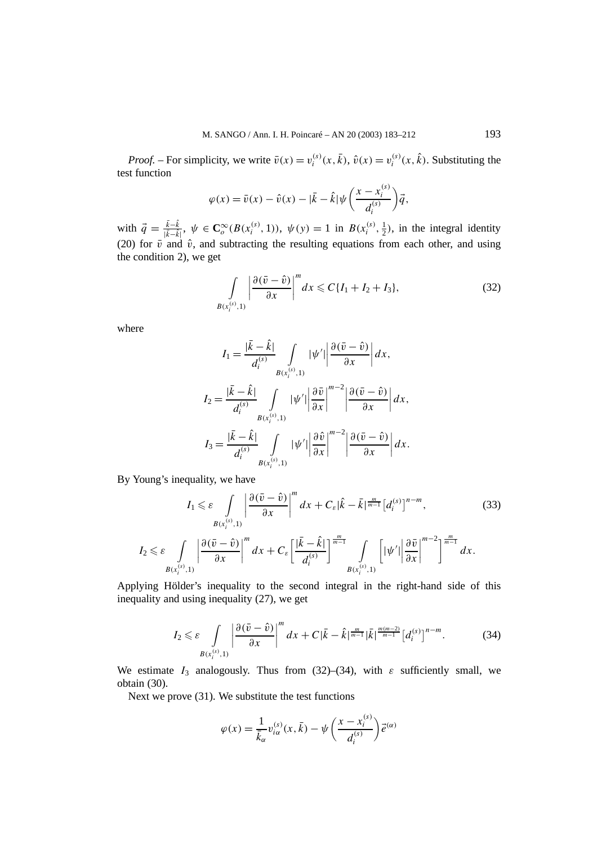*Proof.* – For simplicity, we write  $\bar{v}(x) = v_i^{(s)}(x, \bar{k})$ ,  $\hat{v}(x) = v_i^{(s)}(x, \hat{k})$ . Substituting the test function

$$
\varphi(x) = \bar{v}(x) - \hat{v}(x) - |\bar{k} - \hat{k}| \psi\left(\frac{x - x_i^{(s)}}{d_i^{(s)}}\right) \vec{q},
$$

with  $\vec{q} = \frac{\vec{k}-\hat{k}}{|\vec{k}-\hat{k}|}$ ,  $\psi \in \mathbb{C}_o^{\infty}(B(x_i^{(s)}, 1))$ ,  $\psi(y) = 1$  in  $B(x_i^{(s)}, \frac{1}{2})$ , in the integral identity (20) for  $\bar{v}$  and  $\hat{v}$ , and subtracting the resulting equations from each other, and using the condition 2), we get

$$
\int\limits_{B(x_i^{(s)},1)} \left| \frac{\partial (\bar{v}-\hat{v})}{\partial x} \right|^m dx \leqslant C\{I_1 + I_2 + I_3\},\tag{32}
$$

where

$$
I_1 = \frac{|\bar{k} - \hat{k}|}{d_i^{(s)}} \int_{B(x_i^{(s)}, 1)} |\psi'| \left| \frac{\partial(\bar{v} - \hat{v})}{\partial x} \right| dx,
$$
  
\n
$$
I_2 = \frac{|\bar{k} - \hat{k}|}{d_i^{(s)}} \int_{B(x_i^{(s)}, 1)} |\psi'| \left| \frac{\partial \bar{v}}{\partial x} \right|^{m-2} \left| \frac{\partial(\bar{v} - \hat{v})}{\partial x} \right| dx,
$$
  
\n
$$
I_3 = \frac{|\bar{k} - \hat{k}|}{d_i^{(s)}} \int_{B(x_i^{(s)}, 1)} |\psi'| \left| \frac{\partial \hat{v}}{\partial x} \right|^{m-2} \left| \frac{\partial(\bar{v} - \hat{v})}{\partial x} \right| dx.
$$

By Young's inequality, we have

$$
I_{1} \leqslant \varepsilon \int\limits_{B(x_{i}^{(s)},1)} \left| \frac{\partial(\bar{v}-\hat{v})}{\partial x} \right|^{m} dx + C_{\varepsilon} |\hat{k}-\bar{k}|^{\frac{m}{m-1}} \left[ d_{i}^{(s)} \right]^{n-m},
$$
\n
$$
I_{2} \leqslant \varepsilon \int\limits_{B(x_{i}^{(s)},1)} \left| \frac{\partial(\bar{v}-\hat{v})}{\partial x} \right|^{m} dx + C_{\varepsilon} \left[ \frac{|\bar{k}-\hat{k}|}{d_{i}^{(s)}} \right]^{\frac{m}{m-1}} \int\limits_{B(x_{i}^{(s)},1)} \left[ |\psi'| \left| \frac{\partial \bar{v}}{\partial x} \right|^{m-2} \right]^{\frac{m}{m-1}} dx.
$$
\n(33)

Applying Hölder's inequality to the second integral in the right-hand side of this inequality and using inequality (27), we get

$$
I_2 \leqslant \varepsilon \int\limits_{B(x_i^{(s)},1)} \left| \frac{\partial (\bar{v}-\hat{v})}{\partial x} \right|^m dx + C |\bar{k}-\hat{k}|^{\frac{m}{m-1}} |\bar{k}|^{\frac{m(m-2)}{m-1}} \left[ d_i^{(s)} \right]^{n-m} . \tag{34}
$$

We estimate  $I_3$  analogously. Thus from (32)–(34), with  $\varepsilon$  sufficiently small, we obtain (30).

Next we prove (31). We substitute the test functions

$$
\varphi(x) = \frac{1}{\bar{k}_{\alpha}} v_{i\alpha}^{(s)}(x, \bar{k}) - \psi\left(\frac{x - x_i^{(s)}}{d_i^{(s)}}\right) \vec{e}^{(\alpha)}
$$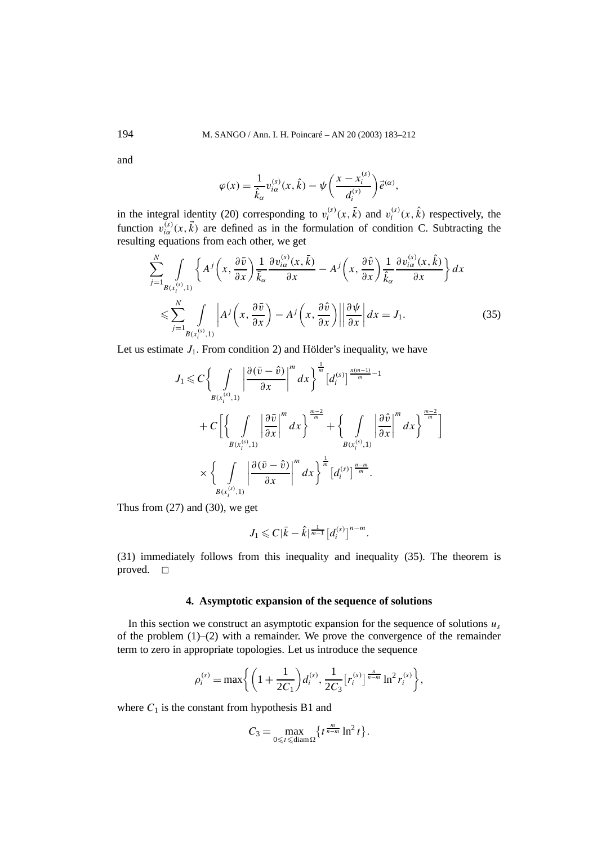and

$$
\varphi(x) = \frac{1}{\hat{k}_{\alpha}} v_{i\alpha}^{(s)}(x,\hat{k}) - \psi\left(\frac{x - x_i^{(s)}}{d_i^{(s)}}\right) \vec{e}^{(\alpha)},
$$

in the integral identity (20) corresponding to  $v_i^{(s)}(x, \bar{k})$  and  $v_i^{(s)}(x, \hat{k})$  respectively, the function  $v_{i\alpha}^{(s)}(x, \vec{k})$  are defined as in the formulation of condition C. Subtracting the resulting equations from each other, we get

$$
\sum_{j=1}^{N} \int_{B(x_i^{(s)},1)} \left\{ A^j \left( x, \frac{\partial \bar{v}}{\partial x} \right) \frac{1}{\bar{k}_{\alpha}} \frac{\partial v_{i\alpha}^{(s)}(x,\bar{k})}{\partial x} - A^j \left( x, \frac{\partial \hat{v}}{\partial x} \right) \frac{1}{\hat{k}_{\alpha}} \frac{\partial v_{i\alpha}^{(s)}(x,\hat{k})}{\partial x} \right\} dx
$$
  

$$
\leqslant \sum_{j=1}^{N} \int_{B(x_i^{(s)},1)} \left| A^j \left( x, \frac{\partial \bar{v}}{\partial x} \right) - A^j \left( x, \frac{\partial \hat{v}}{\partial x} \right) \right| \left| \frac{\partial \psi}{\partial x} \right| dx = J_1.
$$
 (35)

Let us estimate  $J_1$ . From condition 2) and Hölder's inequality, we have

$$
J_{1} \leq C \bigg\{ \int\limits_{B(x_{i}^{(s)},1)} \bigg| \frac{\partial (\bar{v}-\hat{v})}{\partial x} \bigg|^{m} dx \bigg\}^{\frac{1}{m}} \bigg[ d_{i}^{(s)} \bigg]^{\frac{n(m-1)}{m}-1} + C \bigg[ \bigg\{ \int\limits_{B(x_{i}^{(s)},1)} \bigg| \frac{\partial \bar{v}}{\partial x} \bigg|^{m} dx \bigg\}^{\frac{m-2}{m}} + \bigg\{ \int\limits_{B(x_{i}^{(s)},1)} \bigg| \frac{\partial \hat{v}}{\partial x} \bigg|^{m} dx \bigg\}^{\frac{m-2}{m}} \bigg]
$$
  
\$\times \bigg\{ \int\limits\_{B(x\_{i}^{(s)},1)} \bigg| \frac{\partial (\bar{v}-\hat{v})}{\partial x} \bigg|^{m} dx \bigg\}^{\frac{1}{m}} \bigg[ d\_{i}^{(s)} \bigg]^{\frac{n-m}{m}}.

Thus from  $(27)$  and  $(30)$ , we get

$$
J_1 \leqslant C |\bar{k} - \hat{k}|^{\frac{1}{m-1}} [d_i^{(s)}]^{n-m}.
$$

(31) immediately follows from this inequality and inequality (35). The theorem is proved.  $\square$ 

### **4. Asymptotic expansion of the sequence of solutions**

In this section we construct an asymptotic expansion for the sequence of solutions  $u_s$ of the problem (1)–(2) with a remainder. We prove the convergence of the remainder term to zero in appropriate topologies. Let us introduce the sequence

$$
\rho_i^{(s)} = \max\bigg\{ \bigg(1 + \frac{1}{2C_1}\bigg) d_i^{(s)}, \frac{1}{2C_3} [r_i^{(s)}]^{\frac{n}{n-m}} \ln^2 r_i^{(s)} \bigg\},\,
$$

where  $C_1$  is the constant from hypothesis B1 and

$$
C_3 = \max_{0 \leq t \leq \text{diam}\,\Omega} \left\{ t^{\frac{m}{n-m}} \ln^2 t \right\}.
$$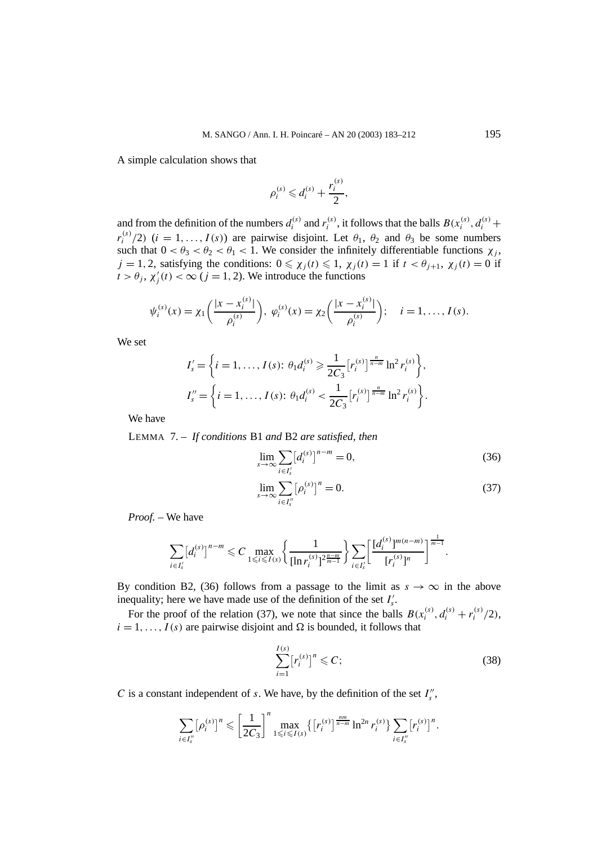A simple calculation shows that

$$
\rho_i^{(s)} \leq d_i^{(s)} + \frac{r_i^{(s)}}{2},
$$

and from the definition of the numbers  $d_i^{(s)}$  and  $r_i^{(s)}$ , it follows that the balls  $B(x_i^{(s)}, d_i^{(s)} +$ *r*<sup>(s)</sup>/2) (*i* = 1, ..., *I*(s)) are pairwise disjoint. Let  $\theta_1$ ,  $\theta_2$  and  $\theta_3$  be some numbers such that  $0 < \theta_3 < \theta_2 < \theta_1 < 1$ . We consider the infinitely differentiable functions  $\chi_i$ ,  $j = 1, 2$ , satisfying the conditions:  $0 \le \chi_i(t) \le 1$ ,  $\chi_i(t) = 1$  if  $t < \theta_{i+1}$ ,  $\chi_i(t) = 0$  if  $t > \theta_j$ ,  $\chi'_j(t) < \infty$  ( $j = 1, 2$ ). We introduce the functions

$$
\psi_i^{(s)}(x) = \chi_1\bigg(\frac{|x - x_i^{(s)}|}{\rho_i^{(s)}}\bigg), \ \varphi_i^{(s)}(x) = \chi_2\bigg(\frac{|x - x_i^{(s)}|}{\rho_i^{(s)}}\bigg); \quad i = 1, \dots, I(s).
$$

We set

$$
I'_{s} = \left\{ i = 1, ..., I(s): \theta_{1} d_{i}^{(s)} \geqslant \frac{1}{2C_{3}} [r_{i}^{(s)}]^{\frac{n}{n-m}} \ln^{2} r_{i}^{(s)} \right\},
$$
  

$$
I''_{s} = \left\{ i = 1, ..., I(s): \theta_{1} d_{i}^{(s)} < \frac{1}{2C_{3}} [r_{i}^{(s)}]^{\frac{n}{n-m}} \ln^{2} r_{i}^{(s)} \right\}.
$$

We have

LEMMA 7. – *If conditions* B1 *and* B2 *are satisfied, then*

$$
\lim_{s \to \infty} \sum_{i \in I'_s} [d_i^{(s)}]^{n-m} = 0,
$$
\n(36)

$$
\lim_{s \to \infty} \sum_{i \in I_s^{\prime\prime}} [\rho_i^{(s)}]^n = 0.
$$
\n(37)

*Proof. –* We have

$$
\sum_{i\in I'_s} [d_i^{(s)}]^{n-m} \leq C \max_{1\leq i\leq I(s)} \left\{ \frac{1}{[\ln r_i^{(s)}]^{2\frac{n-m}{m-1}}} \right\} \sum_{i\in I'_s} \left[ \frac{[d_i^{(s)}]^{m(n-m)}}{[r_i^{(s)}]^{n}} \right]^{\frac{1}{m-1}}.
$$

By condition B2, (36) follows from a passage to the limit as  $s \to \infty$  in the above inequality; here we have made use of the definition of the set  $I'_s$ .

For the proof of the relation (37), we note that since the balls  $B(x_i^{(s)}, d_i^{(s)} + r_i^{(s)}/2)$ ,  $i = 1, \ldots, I(s)$  are pairwise disjoint and  $\Omega$  is bounded, it follows that

$$
\sum_{i=1}^{I(s)} [r_i^{(s)}]^n \leq C; \tag{38}
$$

*C* is a constant independent of *s*. We have, by the definition of the set  $I''_s$ ,

$$
\sum_{i \in I''_s} [\rho_i^{(s)}]^n \leq \left[\frac{1}{2C_3}\right]^n \max_{1 \leq i \leq I(s)} \{[r_i^{(s)}]^{\frac{nm}{n-m}} \ln^{2n} r_i^{(s)}\} \sum_{i \in I''_s} [r_i^{(s)}]^n.
$$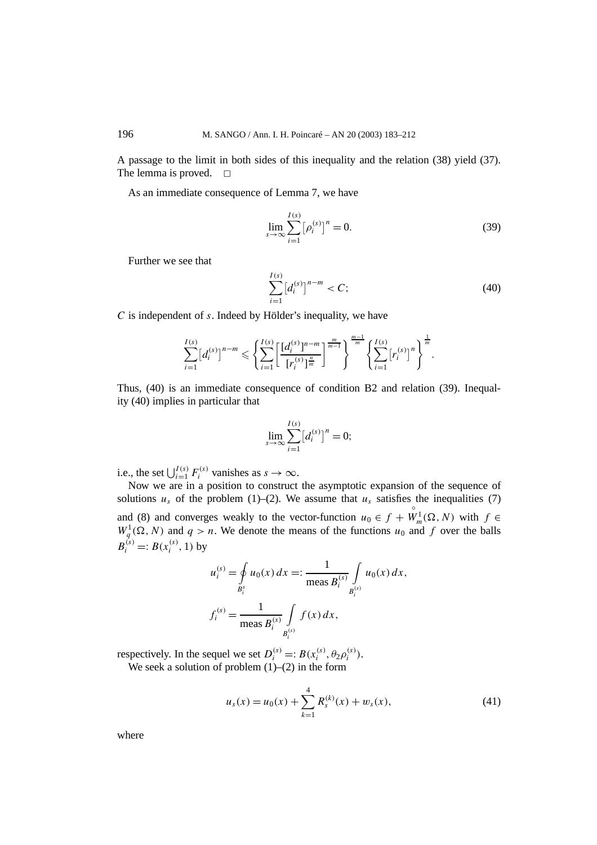A passage to the limit in both sides of this inequality and the relation (38) yield (37). The lemma is proved.  $\square$ 

As an immediate consequence of Lemma 7, we have

$$
\lim_{s \to \infty} \sum_{i=1}^{I(s)} [\rho_i^{(s)}]^n = 0.
$$
\n(39)

Further we see that

$$
\sum_{i=1}^{I(s)} [d_i^{(s)}]^{n-m} < C; \tag{40}
$$

*C* is independent of *s*. Indeed by Hölder's inequality, we have

$$
\sum_{i=1}^{I(s)} [d_i^{(s)}]^{n-m} \leqslant \left\{ \sum_{i=1}^{I(s)} \left[ \frac{[d_i^{(s)}]^{n-m}}{[r_i^{(s)}]_m^{\frac{n}{m}}} \right]^{\frac{m}{m-1}} \right\}^{\frac{m-1}{m}} \left\{ \sum_{i=1}^{I(s)} [r_i^{(s)}]^{n} \right\}^{\frac{1}{m}}.
$$

Thus, (40) is an immediate consequence of condition B2 and relation (39). Inequality (40) implies in particular that

$$
\lim_{s \to \infty} \sum_{i=1}^{I(s)} [d_i^{(s)}]^n = 0;
$$

i.e., the set  $\bigcup_{i=1}^{I(s)} F_i^{(s)}$  vanishes as  $s \to \infty$ .

Now we are in a position to construct the asymptotic expansion of the sequence of solutions  $u_s$  of the problem (1)–(2). We assume that  $u_s$  satisfies the inequalities (7) and (8) and converges weakly to the vector-function  $u_0 \in f +$  $W_m^1(\Omega, N)$  with  $f \in$  $W_q^1(\Omega, N)$  and  $q > n$ . We denote the means of the functions  $u_0$  and f over the balls  $B_i^{(s)} =: B(x_i^{(s)}, 1)$  by

$$
u_i^{(s)} = \oint_{B_i^s} u_0(x) dx =: \frac{1}{\text{meas } B_i^{(s)}} \int_{B_i^{(s)}} u_0(x) dx,
$$
  

$$
f_i^{(s)} = \frac{1}{\text{meas } B_i^{(s)}} \int_{B_i^{(s)}} f(x) dx,
$$

respectively. In the sequel we set  $D_i^{(s)} =: B(x_i^{(s)}, \theta_2 \rho_i^{(s)})$ .

We seek a solution of problem  $(1)$ – $(2)$  in the form

$$
u_s(x) = u_0(x) + \sum_{k=1}^4 R_s^{(k)}(x) + w_s(x),
$$
\n(41)

where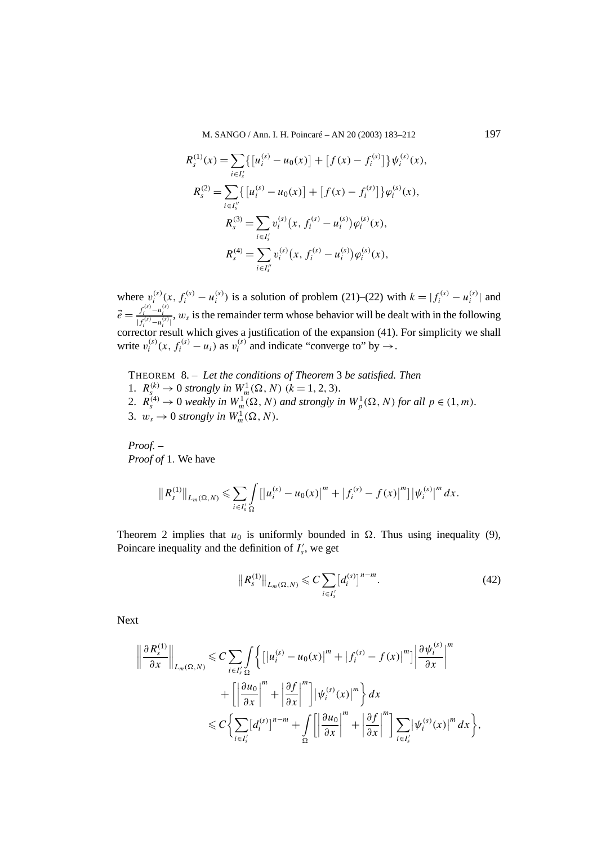M. SANGO / Ann. I. H. Poincaré – AN 20 (2003) 183–212 197

$$
R_s^{(1)}(x) = \sum_{i \in I'_s} \{ [u_i^{(s)} - u_0(x)] + [f(x) - f_i^{(s)}] \} \psi_i^{(s)}(x),
$$
  
\n
$$
R_s^{(2)} = \sum_{i \in I''_s} \{ [u_i^{(s)} - u_0(x)] + [f(x) - f_i^{(s)}] \} \varphi_i^{(s)}(x),
$$
  
\n
$$
R_s^{(3)} = \sum_{i \in I'_s} v_i^{(s)}(x, f_i^{(s)} - u_i^{(s)}) \varphi_i^{(s)}(x),
$$
  
\n
$$
R_s^{(4)} = \sum_{i \in I''_s} v_i^{(s)}(x, f_i^{(s)} - u_i^{(s)}) \varphi_i^{(s)}(x),
$$

where  $v_i^{(s)}(x, f_i^{(s)} - u_i^{(s)})$  is a solution of problem (21)–(22) with  $k = |f_i^{(s)} - u_i^{(s)}|$  and  $\vec{e} = \frac{f_i^{(s)} - u_i^{(s)}}{|f_i^{(s)} - u_i^{(s)}|}$ ,  $w_s$  is the remainder term whose behavior will be dealt with in the following corrector result which gives a justification of the expansion (41). For simplicity we shall write  $v_i^{(s)}(x, f_i^{(s)} - u_i)$  as  $v_i^{(s)}$  and indicate "converge to" by  $\rightarrow$ .

THEOREM 8. – *Let the conditions of Theorem* 3 *be satisfied. Then* 1.  $R_s^{(k)} \to 0$  strongly in  $W_m^1(\Omega, N)$  ( $k = 1, 2, 3$ ). 2.  $R_s^{(4)} \rightarrow 0$  weakly in  $W_m^1(\Omega, N)$  and strongly in  $W_p^1(\Omega, N)$  for all  $p \in (1, m)$ . 3.  $w_s \to 0$  strongly in  $W_m^1(\Omega, N)$ .

*Proof. – Proof of* 1*.* We have

$$
\|R_{s}^{(1)}\|_{L_{m}(\Omega, N)} \leqslant \sum_{i \in I'_{s} \Omega} \left[ \left|u_{i}^{(s)} - u_{0}(x)\right|^{m} + \left|f_{i}^{(s)} - f(x)\right|^{m}\right] \left|\psi_{i}^{(s)}\right|^{m} dx.
$$

Theorem 2 implies that  $u_0$  is uniformly bounded in  $\Omega$ . Thus using inequality (9), Poincare inequality and the definition of  $I'_s$ , we get

$$
||R_s^{(1)}||_{L_m(\Omega,N)} \leqslant C \sum_{i \in I'_s} [d_i^{(s)}]^{n-m}.
$$
\n(42)

Next

$$
\left\|\frac{\partial R_{s}^{(1)}}{\partial x}\right\|_{L_{m}(\Omega, N)} \leq C \sum_{i \in I'_{s} \Omega} \left\{ \left[ \left| u_{i}^{(s)} - u_{0}(x) \right|^{m} + \left| f_{i}^{(s)} - f(x) \right|^{m} \right] \left| \frac{\partial \psi_{i}^{(s)}}{\partial x} \right|^{m} + \left[ \left| \frac{\partial u_{0}}{\partial x} \right|^{m} + \left| \frac{\partial f}{\partial x} \right|^{m} \right] \left| \psi_{i}^{(s)}(x) \right|^{m} \right\} dx
$$
  

$$
\leq C \left\{ \sum_{i \in I'_{s}} [d_{i}^{(s)}]^{n-m} + \int_{\Omega} \left[ \left| \frac{\partial u_{0}}{\partial x} \right|^{m} + \left| \frac{\partial f}{\partial x} \right|^{m} \right] \sum_{i \in I'_{s}} \left| \psi_{i}^{(s)}(x) \right|^{m} dx \right\},
$$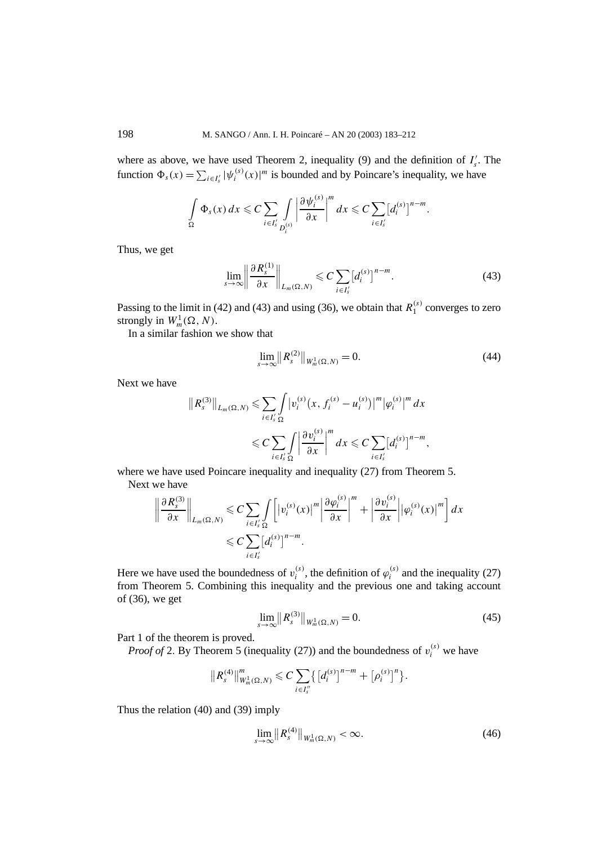where as above, we have used Theorem 2, inequality (9) and the definition of  $I'_s$ . The function  $\Phi_s(x) = \sum_{i \in I'_s} |\psi_i^{(s)}(x)|^m$  is bounded and by Poincare's inequality, we have

$$
\int_{\Omega} \Phi_s(x) dx \leqslant C \sum_{i \in I'_s} \int_{D_i^{(s)}} \left| \frac{\partial \psi_i^{(s)}}{\partial x} \right|^m dx \leqslant C \sum_{i \in I'_s} [d_i^{(s)}]^{n-m}.
$$

Thus, we get

$$
\lim_{s \to \infty} \left\| \frac{\partial R_s^{(1)}}{\partial x} \right\|_{L_m(\Omega, N)} \leqslant C \sum_{i \in I'_s} \left[ d_i^{(s)} \right]^{n-m} . \tag{43}
$$

Passing to the limit in (42) and (43) and using (36), we obtain that  $R_1^{(s)}$  converges to zero strongly in  $W_m^1(\Omega, N)$ .

In a similar fashion we show that

$$
\lim_{s \to \infty} \|R_s^{(2)}\|_{W_m^1(\Omega, N)} = 0. \tag{44}
$$

Next we have

$$
||R_s^{(3)}||_{L_m(\Omega,N)} \leq \sum_{i \in I'_s} \int_{\Omega} \left| v_i^{(s)}(x, f_i^{(s)} - u_i^{(s)}) \right|^m \left| \varphi_i^{(s)} \right|^m dx
$$
  

$$
\leq C \sum_{i \in I'_s} \int_{\Omega} \left| \frac{\partial v_i^{(s)}}{\partial x} \right|^m dx \leq C \sum_{i \in I'_s} [d_i^{(s)}]^{n-m},
$$

where we have used Poincare inequality and inequality (27) from Theorem 5. Next **v** 

$$
\left\|\frac{\partial R_s^{(3)}}{\partial x}\right\|_{L_m(\Omega,N)} \leqslant C \sum_{i\in I'_s} \int_{\Omega} \left[|v_i^{(s)}(x)|^m \left|\frac{\partial \varphi_i^{(s)}}{\partial x}\right|^m + \left|\frac{\partial v_i^{(s)}}{\partial x}\right| |\varphi_i^{(s)}(x)|^m\right] dx
$$
  

$$
\leqslant C \sum_{i\in I'_s} [d_i^{(s)}]^{n-m}.
$$

Here we have used the boundedness of  $v_i^{(s)}$ , the definition of  $\varphi_i^{(s)}$  and the inequality (27) from Theorem 5. Combining this inequality and the previous one and taking account of (36), we get

$$
\lim_{s \to \infty} \|R_s^{(3)}\|_{W_m^1(\Omega, N)} = 0. \tag{45}
$$

Part 1 of the theorem is proved.

*Proof of* 2. By Theorem 5 (inequality (27)) and the boundedness of  $v_i^{(s)}$  we have

$$
||R_{s}^{(4)}||_{W_{m}^{1}(\Omega, N)}^{m} \leq C \sum_{i \in I_{s}''}\left\{\left[d_{i}^{(s)}\right]^{n-m}+\left[\rho_{i}^{(s)}\right]^{n}\right\}.
$$

Thus the relation (40) and (39) imply

$$
\lim_{s\to\infty} \left\| R_s^{(4)} \right\|_{W_m^1(\Omega,N)} < \infty. \tag{46}
$$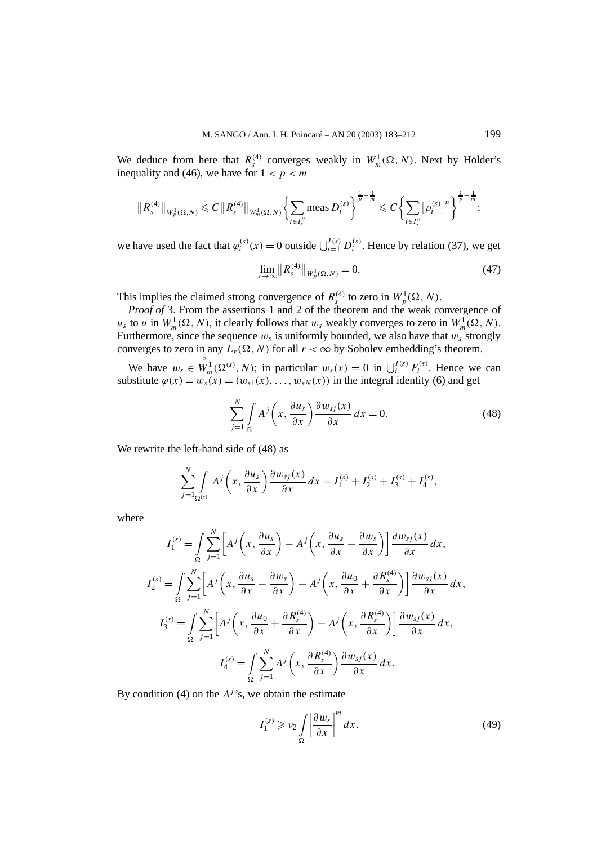We deduce from here that  $R_s^{(4)}$  converges weakly in  $W_m^1(\Omega, N)$ . Next by Hölder's inequality and (46), we have for  $1 < p < m$ 

$$
||R_{s}^{(4)}||_{W_{p}^{1}(\Omega, N)} \leq C||R_{s}^{(4)}||_{W_{m}^{1}(\Omega, N)} \left\{\sum_{i \in I_{s}^{''}} \text{meas } D_{i}^{(s)}\right\}^{\frac{1}{p} - \frac{1}{m}} \leq C \left\{\sum_{i \in I_{s}^{''}} [\rho_{i}^{(s)}]^{n}\right\}^{\frac{1}{p} - \frac{1}{m}};
$$

we have used the fact that  $\varphi_i^{(s)}(x) = 0$  outside  $\bigcup_{i=1}^{I(s)} D_i^{(s)}$ . Hence by relation (37), we get

$$
\lim_{s \to \infty} \|R_s^{(4)}\|_{W_p^1(\Omega, N)} = 0.
$$
\n(47)

This implies the claimed strong convergence of  $R_s^{(4)}$  to zero in  $W_p^1(\Omega, N)$ .

*Proof of* 3. From the assertions 1 and 2 of the theorem and the weak convergence of  $u_s$  to *u* in  $W_m^1(\Omega, N)$ , it clearly follows that  $w_s$  weakly converges to zero in  $W_m^1(\Omega, N)$ . Furthermore, since the sequence  $w_s$  is uniformly bounded, we also have that  $w_s$  strongly converges to zero in any  $L_r(\Omega, N)$  for all  $r < \infty$  by Sobolev embedding's theorem.

We have *ws* ∈  $W_m^1(\Omega^{(s)}, N)$ ; in particular  $w_s(x) = 0$  in  $\bigcup_i^{I(s)} F_i^{(s)}$ . Hence we can substitute  $\varphi(x) = w_s(x) = (w_{s1}(x), \ldots, w_{sN}(x))$  in the integral identity (6) and get

$$
\sum_{j=1}^{N} \int_{\Omega} A^{j} \left( x, \frac{\partial u_{s}}{\partial x} \right) \frac{\partial w_{sj}(x)}{\partial x} dx = 0.
$$
 (48)

We rewrite the left-hand side of (48) as

$$
\sum_{j=1}^N \int\limits_{\Omega^{(s)}} A^j \left(x, \frac{\partial u_s}{\partial x}\right) \frac{\partial w_{sj}(x)}{\partial x} dx = I_1^{(s)} + I_2^{(s)} + I_3^{(s)} + I_4^{(s)},
$$

where

$$
I_1^{(s)} = \int_{\Omega} \sum_{j=1}^N \left[ A^j \left( x, \frac{\partial u_s}{\partial x} \right) - A^j \left( x, \frac{\partial u_s}{\partial x} - \frac{\partial w_s}{\partial x} \right) \right] \frac{\partial w_{sj}(x)}{\partial x} dx,
$$
  

$$
I_2^{(s)} = \int_{\Omega} \sum_{j=1}^N \left[ A^j \left( x, \frac{\partial u_s}{\partial x} - \frac{\partial w_s}{\partial x} \right) - A^j \left( x, \frac{\partial u_0}{\partial x} + \frac{\partial R_s^{(4)}}{\partial x} \right) \right] \frac{\partial w_{sj}(x)}{\partial x} dx,
$$
  

$$
I_3^{(s)} = \int_{\Omega} \sum_{j=1}^N \left[ A^j \left( x, \frac{\partial u_0}{\partial x} + \frac{\partial R_s^{(4)}}{\partial x} \right) - A^j \left( x, \frac{\partial R_s^{(4)}}{\partial x} \right) \right] \frac{\partial w_{sj}(x)}{\partial x} dx,
$$
  

$$
I_4^{(s)} = \int_{\Omega} \sum_{j=1}^N A^j \left( x, \frac{\partial R_s^{(4)}}{\partial x} \right) \frac{\partial w_{sj}(x)}{\partial x} dx.
$$

By condition (4) on the  $A<sup>j</sup>$ 's, we obtain the estimate

$$
I_1^{(s)} \geqslant \nu_2 \int\limits_{\Omega} \left| \frac{\partial w_s}{\partial x} \right|^m dx. \tag{49}
$$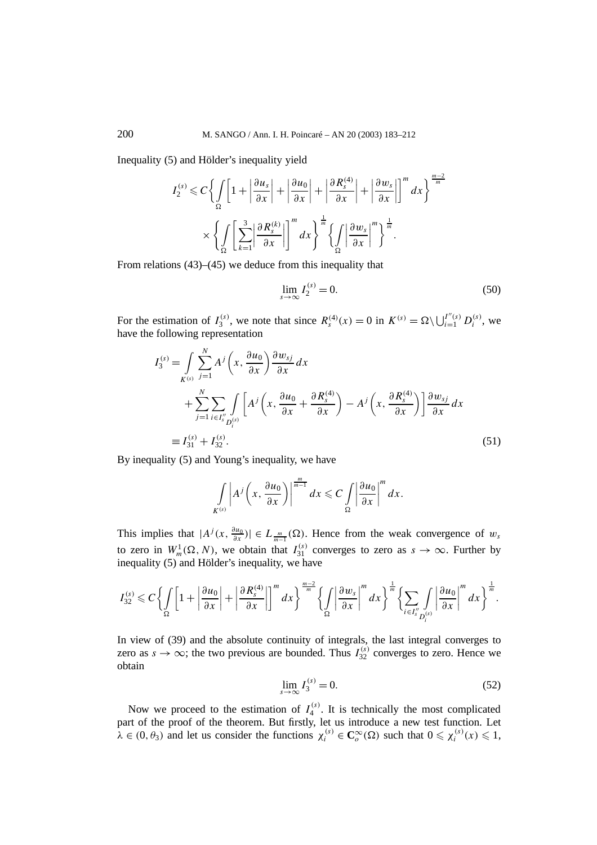Inequality (5) and Hölder's inequality yield

$$
I_2^{(s)} \leq C \left\{ \int_{\Omega} \left[ 1 + \left| \frac{\partial u_s}{\partial x} \right| + \left| \frac{\partial u_0}{\partial x} \right| + \left| \frac{\partial R_s^{(4)}}{\partial x} \right| + \left| \frac{\partial w_s}{\partial x} \right| \right\}^m dx \right\}^{\frac{m-2}{m}} \times \left\{ \int_{\Omega} \left[ \sum_{k=1}^3 \left| \frac{\partial R_s^{(k)}}{\partial x} \right| \right]^m dx \right\}^{\frac{1}{m}} \left\{ \int_{\Omega} \left| \frac{\partial w_s}{\partial x} \right|^{m} \right\}^{\frac{1}{m}}.
$$

From relations (43)–(45) we deduce from this inequality that

$$
\lim_{s \to \infty} I_2^{(s)} = 0. \tag{50}
$$

For the estimation of  $I_3^{(s)}$ , we note that since  $R_s^{(4)}(x) = 0$  in  $K^{(s)} = \Omega \setminus \bigcup_{i=1}^{I''(s)} D_i^{(s)}$ , we have the following representation

$$
I_3^{(s)} = \int \sum_{K^{(s)}}^{N} A^j \left(x, \frac{\partial u_0}{\partial x}\right) \frac{\partial w_{sj}}{\partial x} dx
$$
  
+ 
$$
\sum_{j=1}^{N} \sum_{i \in I_s''} \int \limits_{D_i^{(s)}} \left[ A^j \left(x, \frac{\partial u_0}{\partial x} + \frac{\partial R_s^{(4)}}{\partial x}\right) - A^j \left(x, \frac{\partial R_s^{(4)}}{\partial x}\right) \right] \frac{\partial w_{sj}}{\partial x} dx
$$
  
\n
$$
\equiv I_{31}^{(s)} + I_{32}^{(s)}.
$$
 (51)

By inequality (5) and Young's inequality, we have

$$
\int\limits_{K^{(s)}} \left| A^j \left( x, \frac{\partial u_0}{\partial x} \right) \right|^{\frac{m}{m-1}} dx \leqslant C \int\limits_{\Omega} \left| \frac{\partial u_0}{\partial x} \right|^m dx.
$$

This implies that  $|A^j(x, \frac{\partial u_0}{\partial x})| \in L_{\frac{m}{m-1}}(\Omega)$ . Hence from the weak convergence of  $w_s$ to zero in  $W_m^1(\Omega, N)$ , we obtain that  $I_{31}^{(s)}$  converges to zero as  $s \to \infty$ . Further by inequality (5) and Hölder's inequality, we have

$$
I_{32}^{(s)} \leqslant C \left\lbrace \int\limits_{\Omega} \left[1+\left|\frac{\partial u_0}{\partial x}\right|+\left|\frac{\partial R_s^{(4)}}{\partial x}\right|\right]^m dx \right\rbrace^{\frac{m-2}{m}} \left\lbrace \int\limits_{\Omega} \left|\frac{\partial w_s}{\partial x}\right|^m dx \right\rbrace^{\frac{1}{m}} \left\lbrace \sum_{i \in I''_s} \int\limits_{D_i^{(s)}} \left|\frac{\partial u_0}{\partial x}\right|^m dx \right\rbrace^{\frac{1}{m}}.
$$

In view of (39) and the absolute continuity of integrals, the last integral converges to zero as  $s \to \infty$ ; the two previous are bounded. Thus  $I_{32}^{(s)}$  converges to zero. Hence we obtain

$$
\lim_{s \to \infty} I_3^{(s)} = 0. \tag{52}
$$

Now we proceed to the estimation of  $I_4^{(s)}$ . It is technically the most complicated part of the proof of the theorem. But firstly, let us introduce a new test function. Let  $\lambda \in (0, \theta_3)$  and let us consider the functions  $\chi_i^{(s)} \in \mathbb{C}_o^\infty(\Omega)$  such that  $0 \leq \chi_i^{(s)}(x) \leq 1$ ,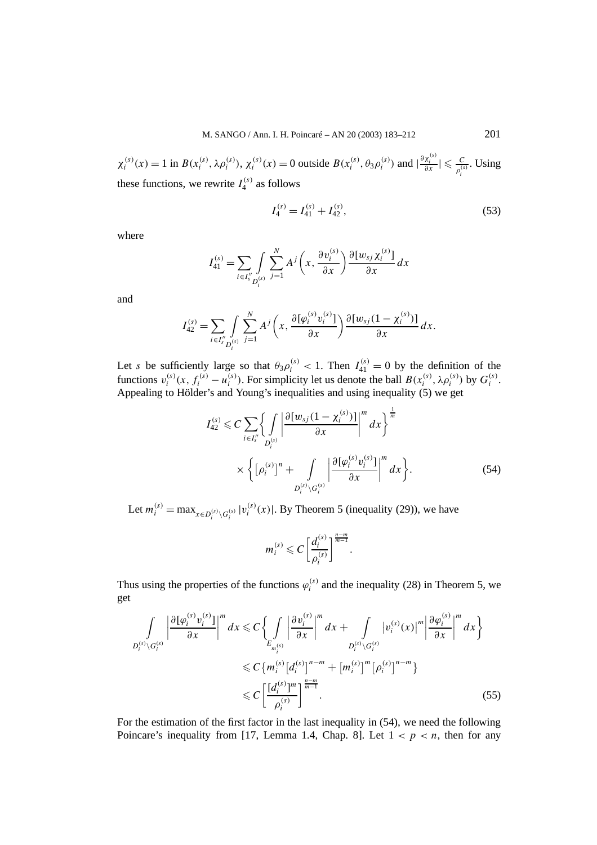$\chi_i^{(s)}(x) = 1$  in  $B(x_i^{(s)}, \lambda \rho_i^{(s)})$ ,  $\chi_i^{(s)}(x) = 0$  outside  $B(x_i^{(s)}, \theta_3 \rho_i^{(s)})$  and  $|\frac{\partial \chi_i^{(s)}}{\partial x}| \leq \frac{C}{\rho_i^{(s)}}$ . Using these functions, we rewrite  $I_4^{(s)}$  as follows

$$
I_4^{(s)} = I_{41}^{(s)} + I_{42}^{(s)},
$$
\n(53)

where

$$
I_{41}^{(s)} = \sum_{i \in I_{s}''} \int_{D_i^{(s)}} \sum_{j=1}^N A^j \left(x, \frac{\partial v_i^{(s)}}{\partial x}\right) \frac{\partial [w_{sj} \chi_i^{(s)}]}{\partial x} dx
$$

and

$$
I_{42}^{(s)} = \sum_{i \in I''_s} \int_{D_i^{(s)}} \sum_{j=1}^N A^j \left( x, \frac{\partial [\varphi_i^{(s)} v_i^{(s)}]}{\partial x} \right) \frac{\partial [w_{sj}(1 - \chi_i^{(s)})]}{\partial x} dx.
$$

Let *s* be sufficiently large so that  $\theta_3 \rho_i^{(s)} < 1$ . Then  $I_{41}^{(s)} = 0$  by the definition of the functions  $v_i^{(s)}(x, f_i^{(s)} - u_i^{(s)})$ . For simplicity let us denote the ball  $B(x_i^{(s)}, \lambda \rho_i^{(s)})$  by  $G_i^{(s)}$ . Appealing to Hölder's and Young's inequalities and using inequality (5) we get

$$
I_{42}^{(s)} \leqslant C \sum_{i \in I_s''} \left\{ \int_{D_i^{(s)}} \left| \frac{\partial [w_{sj}(1 - \chi_i^{(s)})]}{\partial x} \right|^m dx \right\}^{\frac{1}{m}} d x \right\}^{\frac{1}{m}}
$$

$$
\times \left\{ \left[ \rho_i^{(s)} \right]^n + \int_{D_i^{(s)} \backslash G_i^{(s)}} \left| \frac{\partial [\varphi_i^{(s)} v_i^{(s)}]}{\partial x} \right|^m dx \right\}.
$$
(54)

*.*

Let  $m_i^{(s)} = \max_{x \in D_i^{(s)} \setminus G_i^{(s)}} |v_i^{(s)}(x)|$ . By Theorem 5 (inequality (29)), we have

$$
m_i^{(s)} \leq C \left[\frac{d_i^{(s)}}{\rho_i^{(s)}}\right]^{\frac{n-m}{m-1}}
$$

Thus using the properties of the functions  $\varphi_i^{(s)}$  and the inequality (28) in Theorem 5, we get

$$
\int_{D_i^{(s)} \setminus G_i^{(s)}} \left| \frac{\partial [\varphi_i^{(s)} v_i^{(s)}]}{\partial x} \right|^m dx \leq C \Biggl\{ \int_{E_{m_i^{(s)}}} \left| \frac{\partial v_i^{(s)}}{\partial x} \right|^m dx + \int_{D_i^{(s)} \setminus G_i^{(s)}} |v_i^{(s)}(x)|^m \left| \frac{\partial \varphi_i^{(s)}}{\partial x} \right|^m dx \Biggr\}
$$
  

$$
\leq C \Biggl\{ m_i^{(s)} [d_i^{(s)}]^{n-m} + [m_i^{(s)}]^m [\varphi_i^{(s)}]^{n-m} \Biggr\}
$$
  

$$
\leq C \Biggl[ \frac{[d_i^{(s)}]^m}{\varphi_i^{(s)}} \Biggr]^{n-m} . \tag{55}
$$

For the estimation of the first factor in the last inequality in (54), we need the following Poincare's inequality from [17, Lemma 1.4, Chap. 8]. Let  $1 < p < n$ , then for any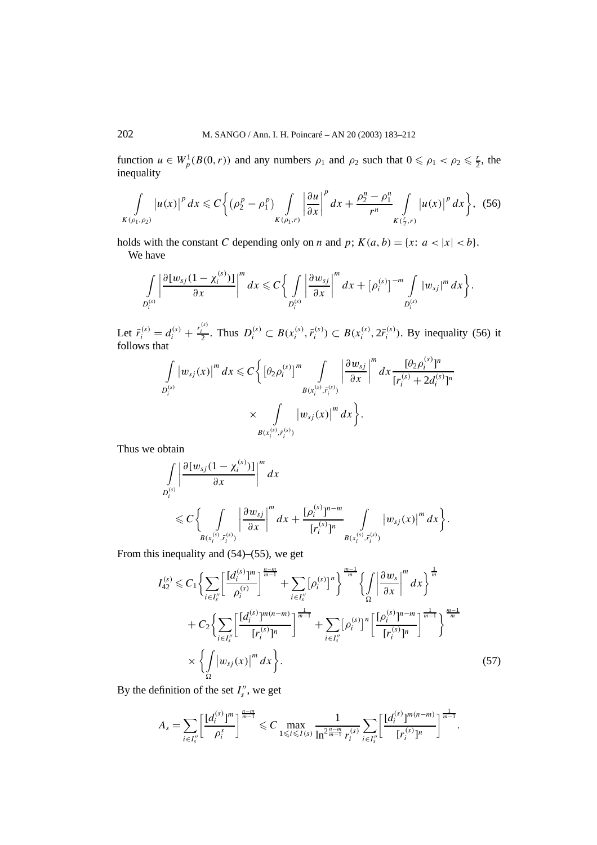function  $u \in W_p^1(B(0, r))$  and any numbers  $\rho_1$  and  $\rho_2$  such that  $0 \le \rho_1 < \rho_2 \le \frac{r}{2}$ , the inequality

$$
\int_{K(\rho_1,\rho_2)} |u(x)|^p dx \leq C \bigg\{ \big( \rho_2^p - \rho_1^p \big) \int_{K(\rho_1,r)} \bigg| \frac{\partial u}{\partial x} \bigg|^p dx + \frac{\rho_2^n - \rho_1^n}{r^n} \int_{K(\frac{r}{2},r)} |u(x)|^p dx \bigg\},
$$
 (56)

holds with the constant *C* depending only on *n* and *p*;  $K(a, b) = \{x : a < |x| < b\}.$ We have

$$
\int\limits_{D_i^{(s)}} \left|\frac{\partial [w_{sj}(1-\chi_i^{(s)})]}{\partial x}\right|^m dx \leqslant C \bigg\{ \int\limits_{D_i^{(s)}} \left|\frac{\partial w_{sj}}{\partial x}\right|^m dx + [\rho_i^{(s)}]^{-m} \int\limits_{D_i^{(s)}} |w_{sj}|^m dx \bigg\}.
$$

Let  $\bar{r}_i^{(s)} = d_i^{(s)} + \frac{r_i^{(s)}}{2}$ . Thus  $D_i^{(s)} \subset B(x_i^{(s)}, \bar{r}_i^{(s)}) \subset B(x_i^{(s)}, 2\bar{r}_i^{(s)})$ . By inequality (56) it follows that

$$
\int_{D_i^{(s)}} |w_{sj}(x)|^m dx \leq C \bigg\{ \big[\theta_2 \rho_i^{(s)}\big]^m \int_{B(x_i^{(s)}, \bar{r}_i^{(s)})} \bigg| \frac{\partial w_{sj}}{\partial x} \bigg|^m dx \frac{[\theta_2 \rho_i^{(s)}]^n}{[r_i^{(s)} + 2d_i^{(s)}]^n}
$$

$$
\times \int_{B(x_i^{(s)}, \bar{r}_i^{(s)})} |w_{sj}(x)|^m dx \bigg\}.
$$

Thus we obtain

$$
\int_{D_i^{(s)}} \left| \frac{\partial [w_{sj}(1-\chi_i^{(s)})]}{\partial x} \right|^m dx
$$
\n
$$
\leq C \bigg\{ \int_{B(x_i^{(s)}, \bar{r}_i^{(s)})} \left| \frac{\partial w_{sj}}{\partial x} \right|^m dx + \frac{[\rho_i^{(s)}]^{n-m}}{[r_i^{(s)}]^{n}} \int_{B(x_i^{(s)}, \bar{r}_i^{(s)})} \left| w_{sj}(x) \right|^m dx \bigg\}.
$$

From this inequality and (54)–(55), we get

$$
I_{42}^{(s)} \leq C_1 \left\{ \sum_{i \in I''_s} \left[ \frac{[d_i^{(s)}]^m}{\rho_i^{(s)}} \right]^{\frac{n-m}{m-1}} + \sum_{i \in I''_s} [\rho_i^{(s)}]^n \right\}^{\frac{m-1}{m}} \left\{ \int \left| \frac{\partial w_s}{\partial x} \right|^m dx \right\}^{\frac{1}{m}} + C_2 \left\{ \sum_{i \in I''_s} \left[ \frac{[d_i^{(s)}]^{m(n-m)}}{[r_i^{(s)}]^n} \right]^{\frac{1}{m-1}} + \sum_{i \in I''_s} [\rho_i^{(s)}]^n \left[ \frac{[\rho_i^{(s)}]^{n-m}}{[r_i^{(s)}]^n} \right]^{\frac{1}{m-1}} \right\}^{\frac{m-1}{m}}
$$

$$
\times \left\{ \int \left| w_{sj}(x) \right|^m dx \right\}.
$$
 (57)

By the definition of the set  $I''_s$ , we get

$$
A_s = \sum_{i \in I''_s} \left[ \frac{[d_i^{(s)}]^m}{\rho_i^s} \right]^{\frac{n-m}{m-1}} \leq C \max_{1 \leq i \leq I(s)} \frac{1}{\ln^{2\frac{n-m}{m-1}} r_i^{(s)}} \sum_{i \in I''_s} \left[ \frac{[d_i^{(s)}]^{m(n-m)}}{[r_i^{(s)}]^n} \right]^{\frac{1}{m-1}}.
$$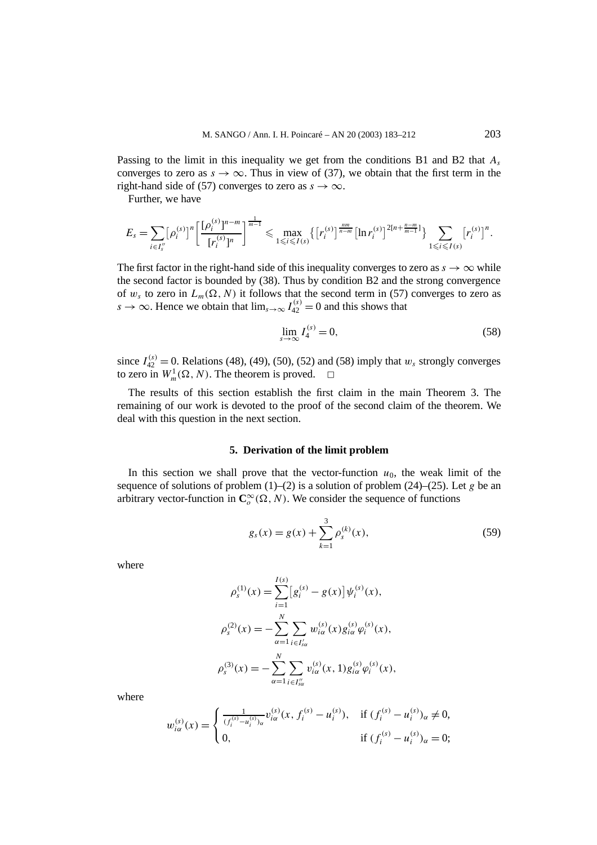Passing to the limit in this inequality we get from the conditions B1 and B2 that *As* converges to zero as  $s \to \infty$ . Thus in view of (37), we obtain that the first term in the right-hand side of (57) converges to zero as  $s \to \infty$ .

Further, we have

$$
E_s = \sum_{i \in I_s''} {\left[ \rho_i^{(s)} \right]^n} {\left[ \frac{\left[ \rho_i^{(s)} \right]^{n-m}}{\left[ r_i^{(s)} \right]^{n}} \right]}^{\frac{1}{m-1}} \leq \max_{1 \leq i \leq I(s)} {\left\{ \left[ r_i^{(s)} \right]^{\frac{nm}{n-m}} \left[ \ln r_i^{(s)} \right]^{2\left[ n + \frac{n-m}{m-1} \right]} \right\}} \sum_{1 \leq i \leq I(s)} {\left[ r_i^{(s)} \right]^n}.
$$

The first factor in the right-hand side of this inequality converges to zero as  $s \to \infty$  while the second factor is bounded by (38). Thus by condition B2 and the strong convergence of  $w_s$  to zero in  $L_m(\Omega, N)$  it follows that the second term in (57) converges to zero as *s* → ∞. Hence we obtain that  $\lim_{s\to\infty} I_{42}^{(s)} = 0$  and this shows that

$$
\lim_{s \to \infty} I_4^{(s)} = 0,\tag{58}
$$

since  $I_{42}^{(s)} = 0$ . Relations (48), (49), (50), (52) and (58) imply that  $w_s$  strongly converges to zero in  $W_m^1(\Omega, N)$ . The theorem is proved.  $\Box$ 

The results of this section establish the first claim in the main Theorem 3. The remaining of our work is devoted to the proof of the second claim of the theorem. We deal with this question in the next section.

#### **5. Derivation of the limit problem**

In this section we shall prove that the vector-function  $u_0$ , the weak limit of the sequence of solutions of problem  $(1)$ – $(2)$  is a solution of problem  $(24)$ – $(25)$ . Let *g* be an arbitrary vector-function in  $\mathbb{C}_o^\infty(\Omega, N)$ . We consider the sequence of functions

$$
g_s(x) = g(x) + \sum_{k=1}^{3} \rho_s^{(k)}(x),
$$
\n(59)

where

$$
\rho_s^{(1)}(x) = \sum_{i=1}^{I(s)} [g_i^{(s)} - g(x)] \psi_i^{(s)}(x),
$$
  
\n
$$
\rho_s^{(2)}(x) = -\sum_{\alpha=1}^{N} \sum_{i \in I'_{s\alpha}} w_{i\alpha}^{(s)}(x) g_{i\alpha}^{(s)} \varphi_i^{(s)}(x),
$$
  
\n
$$
\rho_s^{(3)}(x) = -\sum_{\alpha=1}^{N} \sum_{i \in I''_{s\alpha}} v_{i\alpha}^{(s)}(x, 1) g_{i\alpha}^{(s)} \varphi_i^{(s)}(x),
$$

where

$$
w_{i\alpha}^{(s)}(x) = \begin{cases} \frac{1}{(f_i^{(s)} - u_i^{(s)})_\alpha} v_{i\alpha}^{(s)}(x, f_i^{(s)} - u_i^{(s)}), & \text{if } (f_i^{(s)} - u_i^{(s)})_\alpha \neq 0, \\ 0, & \text{if } (f_i^{(s)} - u_i^{(s)})_\alpha = 0; \end{cases}
$$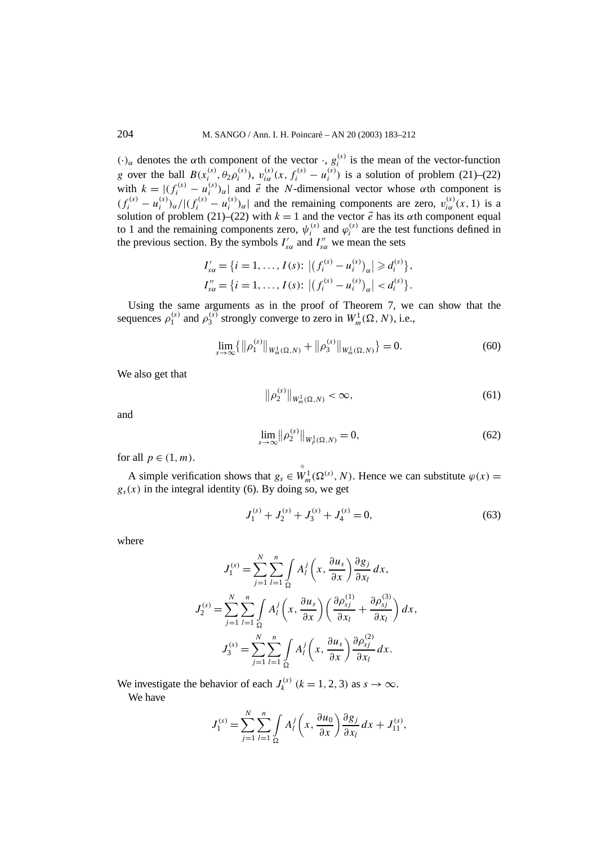*(*·*)α* denotes the *α*th component of the vector ·, *g(s) <sup>i</sup>* is the mean of the vector-function g over the ball  $B(x_i^{(s)}, \theta_2 \rho_i^{(s)})$ ,  $v_{i\alpha}^{(s)}(x, f_i^{(s)} - u_i^{(s)})$  is a solution of problem (21)–(22) with  $k = |(f_i^{(s)} - u_i^{(s)})_{\alpha}|$  and  $\vec{e}$  the *N*-dimensional vector whose  $\alpha$ th component is  $(f_i^{(s)} - u_i^{(s)})_{\alpha}/(f_i^{(s)} - u_i^{(s)})_{\alpha}$  and the remaining components are zero,  $v_{i\alpha}^{(s)}(x, 1)$  is a solution of problem (21)–(22) with  $k = 1$  and the vector  $\vec{e}$  has its  $\alpha$ th component equal to 1 and the remaining components zero,  $\psi_i^{(s)}$  and  $\varphi_i^{(s)}$  are the test functions defined in the previous section. By the symbols  $I'_{s\alpha}$  and  $I''_{s\alpha}$  we mean the sets

$$
I'_{s\alpha} = \{i = 1, ..., I(s): |(f_i^{(s)} - u_i^{(s)})_{\alpha}| \geq d_i^{(s)}\},
$$
  

$$
I''_{s\alpha} = \{i = 1, ..., I(s): |(f_i^{(s)} - u_i^{(s)})_{\alpha}| < d_i^{(s)}\}.
$$

Using the same arguments as in the proof of Theorem 7, we can show that the sequences  $\rho_1^{(s)}$  and  $\rho_3^{(s)}$  strongly converge to zero in  $W_m^1(\Omega, N)$ , i.e.,

$$
\lim_{s \to \infty} \{ \|\rho_1^{(s)}\|_{W_m^1(\Omega, N)} + \|\rho_3^{(s)}\|_{W_m^1(\Omega, N)} \} = 0.
$$
\n(60)

We also get that

$$
\left\|\rho_2^{(s)}\right\|_{W_m^1(\Omega,N)} < \infty,\tag{61}
$$

and

$$
\lim_{s \to \infty} ||\rho_2^{(s)}||_{W_p^1(\Omega, N)} = 0,
$$
\n(62)

for all  $p \in (1, m)$ .

A simple verification shows that  $g_s \in$  $\overset{\circ}{W}_m^1(\Omega^{(s)}, N)$ . Hence we can substitute  $\varphi(x) =$  $g<sub>s</sub>(x)$  in the integral identity (6). By doing so, we get

$$
J_1^{(s)} + J_2^{(s)} + J_3^{(s)} + J_4^{(s)} = 0,
$$
\n(63)

where

$$
J_1^{(s)} = \sum_{j=1}^N \sum_{l=1}^n \int_A A_l^j \left(x, \frac{\partial u_s}{\partial x}\right) \frac{\partial g_j}{\partial x_l} dx,
$$
  

$$
J_2^{(s)} = \sum_{j=1}^N \sum_{l=1}^n \int_{\Omega} A_l^j \left(x, \frac{\partial u_s}{\partial x}\right) \left(\frac{\partial \rho_{sj}^{(1)}}{\partial x_l} + \frac{\partial \rho_{sj}^{(3)}}{\partial x_l}\right) dx,
$$
  

$$
J_3^{(s)} = \sum_{j=1}^N \sum_{l=1}^n \int_{\Omega} A_l^j \left(x, \frac{\partial u_s}{\partial x}\right) \frac{\partial \rho_{sj}^{(2)}}{\partial x_l} dx.
$$

We investigate the behavior of each  $J_k^{(s)}$  ( $k = 1, 2, 3$ ) as  $s \to \infty$ . We have

$$
J_1^{(s)} = \sum_{j=1}^N \sum_{l=1}^n \int\limits_{\Omega} A_l^j \left( x, \frac{\partial u_0}{\partial x} \right) \frac{\partial g_j}{\partial x_l} dx + J_{11}^{(s)},
$$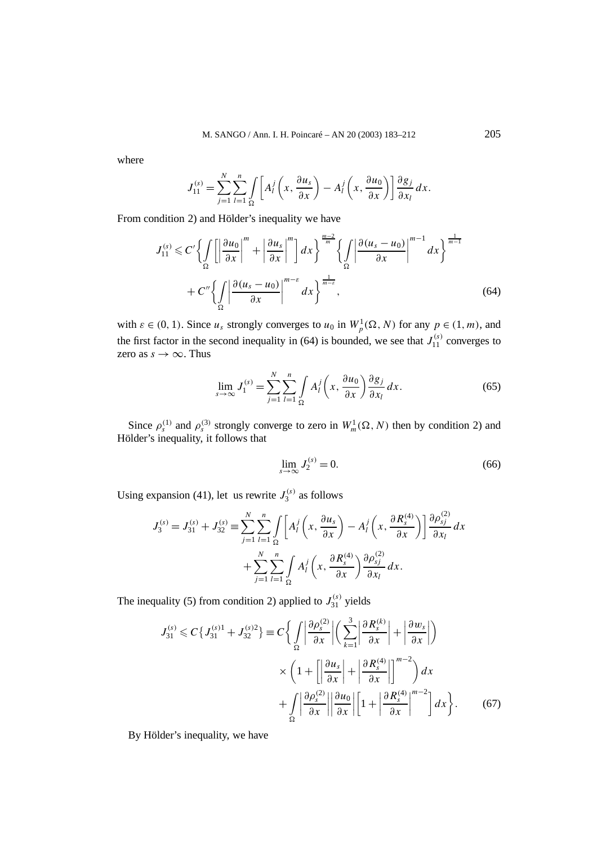where

$$
J_{11}^{(s)} = \sum_{j=1}^{N} \sum_{l=1}^{n} \int_{\Omega} \left[ A_l^j \left( x, \frac{\partial u_s}{\partial x} \right) - A_l^j \left( x, \frac{\partial u_0}{\partial x} \right) \right] \frac{\partial g_j}{\partial x_l} dx.
$$

From condition 2) and Hölder's inequality we have

$$
J_{11}^{(s)} \leq C' \left\{ \int_{\Omega} \left[ \left| \frac{\partial u_0}{\partial x} \right|^m + \left| \frac{\partial u_s}{\partial x} \right|^m \right] dx \right\}^{\frac{m-2}{m}} \left\{ \int_{\Omega} \left| \frac{\partial (u_s - u_0)}{\partial x} \right|^{m-1} dx \right\}^{\frac{1}{m-1}} + C'' \left\{ \int_{\Omega} \left| \frac{\partial (u_s - u_0)}{\partial x} \right|^{m-\varepsilon} dx \right\}^{\frac{1}{m-\varepsilon}}, \tag{64}
$$

with  $\varepsilon \in (0, 1)$ . Since  $u_s$  strongly converges to  $u_0$  in  $W_p^1(\Omega, N)$  for any  $p \in (1, m)$ , and the first factor in the second inequality in (64) is bounded, we see that  $J_{11}^{(s)}$  converges to zero as  $s \to \infty$ . Thus

$$
\lim_{s \to \infty} J_1^{(s)} = \sum_{j=1}^N \sum_{l=1}^n \int_{\Omega} A_l^j \left( x, \frac{\partial u_0}{\partial x} \right) \frac{\partial g_j}{\partial x_l} dx.
$$
 (65)

Since  $\rho_s^{(1)}$  and  $\rho_s^{(3)}$  strongly converge to zero in  $W_m^1(\Omega, N)$  then by condition 2) and Hölder's inequality, it follows that

$$
\lim_{s \to \infty} J_2^{(s)} = 0. \tag{66}
$$

Using expansion (41), let us rewrite  $J_3^{(s)}$  as follows

$$
J_3^{(s)} = J_{31}^{(s)} + J_{32}^{(s)} \equiv \sum_{j=1}^N \sum_{l=1}^n \int_{\Omega} \left[ A_l^j \left( x, \frac{\partial u_s}{\partial x} \right) - A_l^j \left( x, \frac{\partial R_s^{(4)}}{\partial x} \right) \right] \frac{\partial \rho_{sj}^{(2)}}{\partial x_l} dx
$$

$$
+ \sum_{j=1}^N \sum_{l=1}^n \int_{\Omega} A_l^j \left( x, \frac{\partial R_s^{(4)}}{\partial x} \right) \frac{\partial \rho_{sj}^{(2)}}{\partial x_l} dx.
$$

The inequality (5) from condition 2) applied to  $J_{31}^{(s)}$  yields

$$
J_{31}^{(s)} \leq C \{ J_{31}^{(s)1} + J_{32}^{(s)2} \} \equiv C \left\{ \int_{\Omega} \left| \frac{\partial \rho_s^{(2)}}{\partial x} \right| \left( \sum_{k=1}^3 \left| \frac{\partial R_s^{(k)}}{\partial x} \right| + \left| \frac{\partial w_s}{\partial x} \right| \right) \right\}
$$

$$
\times \left( 1 + \left[ \left| \frac{\partial u_s}{\partial x} \right| + \left| \frac{\partial R_s^{(4)}}{\partial x} \right| \right]^{m-2} \right) dx
$$

$$
+ \int_{\Omega} \left| \frac{\partial \rho_s^{(2)}}{\partial x} \right| \left| \frac{\partial u_0}{\partial x} \right| \left[ 1 + \left| \frac{\partial R_s^{(4)}}{\partial x} \right|^{m-2} \right] dx \right\}.
$$
(67)

By Hölder's inequality, we have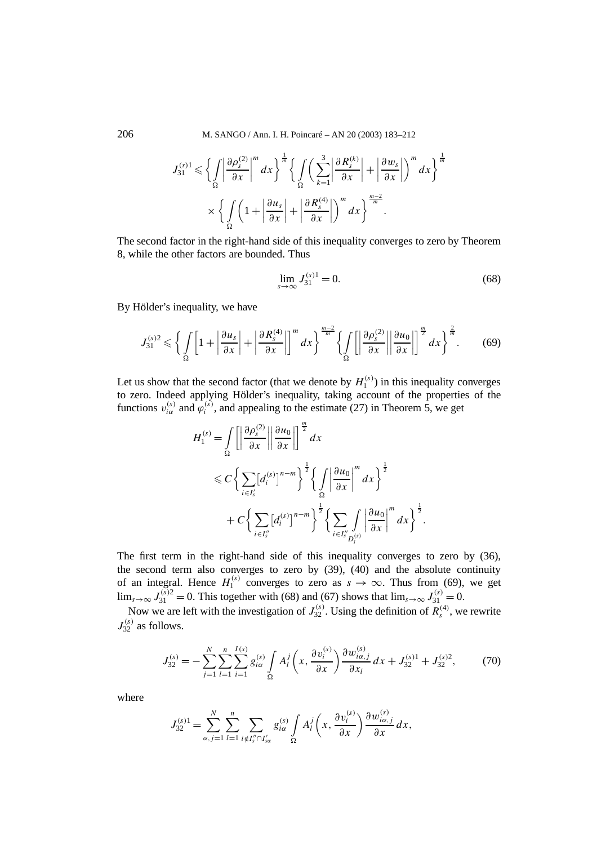206 M. SANGO / Ann. I. H. Poincaré – AN 20 (2003) 183–212

$$
J_{31}^{(s)} \leq \left\{ \int_{\Omega} \left| \frac{\partial \rho_s^{(2)}}{\partial x} \right|^m dx \right\}^{\frac{1}{m}} \left\{ \int_{\Omega} \left( \sum_{k=1}^3 \left| \frac{\partial R_s^{(k)}}{\partial x} \right| + \left| \frac{\partial w_s}{\partial x} \right| \right)^m dx \right\}^{\frac{1}{m}} \times \left\{ \int_{\Omega} \left( 1 + \left| \frac{\partial u_s}{\partial x} \right| + \left| \frac{\partial R_s^{(4)}}{\partial x} \right| \right)^m dx \right\}^{\frac{m-2}{m}}.
$$

The second factor in the right-hand side of this inequality converges to zero by Theorem 8, while the other factors are bounded. Thus

$$
\lim_{s \to \infty} J_{31}^{(s)1} = 0. \tag{68}
$$

By Hölder's inequality, we have

$$
J_{31}^{(s)2} \leqslant \left\{ \int\limits_{\Omega} \left[ 1 + \left| \frac{\partial u_s}{\partial x} \right| + \left| \frac{\partial R_s^{(4)}}{\partial x} \right| \right]^m dx \right\}^{\frac{m-2}{m}} \left\{ \int\limits_{\Omega} \left[ \left| \frac{\partial \rho_s^{(2)}}{\partial x} \right| \left| \frac{\partial u_0}{\partial x} \right| \right]^{\frac{m}{2}} dx \right\}^{\frac{2}{m}}. \tag{69}
$$

Let us show that the second factor (that we denote by  $H_1^{(s)}$ ) in this inequality converges to zero. Indeed applying Hölder's inequality, taking account of the properties of the functions  $v_{i\alpha}^{(s)}$  and  $\hat{\varphi}_i^{(s)}$ , and appealing to the estimate (27) in Theorem 5, we get

$$
H_1^{(s)} = \int_{\Omega} \left[ \left| \frac{\partial \rho_s^{(2)}}{\partial x} \right| \left| \frac{\partial u_0}{\partial x} \right| \right]^{\frac{m}{2}} dx
$$
  
\n
$$
\leq C \left\{ \sum_{i \in I'_s} [d_i^{(s)}]^{n-m} \right\}^{\frac{1}{2}} \left\{ \int_{\Omega} \left| \frac{\partial u_0}{\partial x} \right|^{m} dx \right\}^{\frac{1}{2}}
$$
  
\n
$$
+ C \left\{ \sum_{i \in I''_s} [d_i^{(s)}]^{n-m} \right\}^{\frac{1}{2}} \left\{ \sum_{i \in I''_s} \int_{D_i^{(s)}} \left| \frac{\partial u_0}{\partial x} \right|^{m} dx \right\}^{\frac{1}{2}}.
$$

The first term in the right-hand side of this inequality converges to zero by (36), the second term also converges to zero by (39), (40) and the absolute continuity of an integral. Hence  $H_1^{(s)}$  converges to zero as  $s \to \infty$ . Thus from (69), we get lim<sub>*s*→∞</sub>  $J_{31}^{(s)} = 0$ . This together with (68) and (67) shows that lim<sub>*s*→∞</sub>  $J_{31}^{(s)} = 0$ .

Now we are left with the investigation of  $J_{32}^{(s)}$ . Using the definition of  $R_s^{(4)}$ , we rewrite  $J_{32}^{(s)}$  as follows.

$$
J_{32}^{(s)} = -\sum_{j=1}^{N} \sum_{l=1}^{n} \sum_{i=1}^{I(s)} g_{i\alpha}^{(s)} \int_{\Omega} A_{l}^{j} \left(x, \frac{\partial v_{i}^{(s)}}{\partial x}\right) \frac{\partial w_{i\alpha,j}^{(s)}}{\partial x_{l}} dx + J_{32}^{(s)1} + J_{32}^{(s)2},
$$
(70)

where

$$
J_{32}^{(s)1} = \sum_{\alpha,j=1}^N \sum_{l=1}^n \sum_{i \notin I_s'' \cap I_{s\alpha}'} g_{i\alpha}^{(s)} \int_{\Omega} A_l^j \left(x, \frac{\partial v_i^{(s)}}{\partial x}\right) \frac{\partial w_{i\alpha,j}^{(s)}}{\partial x} dx,
$$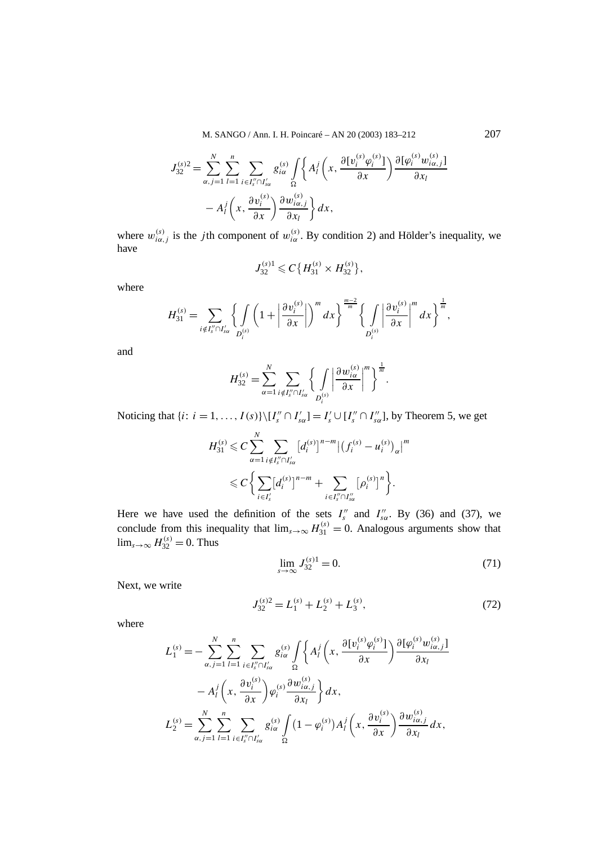M. SANGO / Ann. I. H. Poincaré – AN 20 (2003) 183–212 207

$$
J_{32}^{(s)2} = \sum_{\alpha,j=1}^{N} \sum_{l=1}^{n} \sum_{i \in I_s'' \cap I_{s\alpha}'} g_{i\alpha}^{(s)} \int_{\Omega} \left\{ A_l^j \left( x, \frac{\partial [v_i^{(s)} \varphi_i^{(s)}]}{\partial x} \right) \frac{\partial [\varphi_i^{(s)} w_{i\alpha,j}^{(s)}]}{\partial x_l} \right\} d\mathbf{x}
$$

$$
- A_l^j \left( x, \frac{\partial v_i^{(s)}}{\partial x} \right) \frac{\partial w_{i\alpha,j}^{(s)}}{\partial x_l} dx,
$$

where  $w_{i\alpha,j}^{(s)}$  is the *j*th component of  $w_{i\alpha}^{(s)}$ . By condition 2) and Hölder's inequality, we have

$$
J_{32}^{(s)1} \leqslant C\big\{H_{31}^{(s)} \times H_{32}^{(s)}\big\},\
$$

where

$$
H_{31}^{(s)} = \sum_{i \notin I''_s \cap I'_{s\alpha}} \left\{ \int\limits_{D_i^{(s)}} \left( 1 + \left| \frac{\partial v_i^{(s)}}{\partial x} \right| \right)^m dx \right\}^{\frac{m-2}{m}} \left\{ \int\limits_{D_i^{(s)}} \left| \frac{\partial v_i^{(s)}}{\partial x} \right|^m dx \right\}^{\frac{1}{m}},
$$

and

$$
H_{32}^{(s)} = \sum_{\alpha=1}^{N} \sum_{i \notin I_s'' \cap I_{s\alpha}'} \left\{ \int\limits_{D_i^{(s)}} \left| \frac{\partial w_{i\alpha}^{(s)}}{\partial x} \right|^m \right\}^{\frac{1}{m}}.
$$

Noticing that  $\{i: i = 1, ..., I(s)\}\setminus [I''_s \cap I'_{sa}] = I'_s \cup [I''_s \cap I''_{sa}]$ , by Theorem 5, we get

$$
H_{31}^{(s)} \leq C \sum_{\alpha=1}^{N} \sum_{i \notin I''_{s} \cap I'_{s\alpha}} [d_i^{(s)}]^{n-m} |(f_i^{(s)} - u_i^{(s)})_{\alpha}|^{m}
$$
  

$$
\leq C \bigg\{ \sum_{i \in I'_{s}} [d_i^{(s)}]^{n-m} + \sum_{i \in I''_{s} \cap I''_{s\alpha}} [\rho_i^{(s)}]^{n} \bigg\}.
$$

Here we have used the definition of the sets  $I_s''$  and  $I_{sa}''$ . By (36) and (37), we conclude from this inequality that  $\lim_{s\to\infty} H_{31}^{(s)} = 0$ . Analogous arguments show that  $\lim_{s\to\infty} H_{32}^{(s)} = 0$ . Thus

$$
\lim_{s \to \infty} J_{32}^{(s)1} = 0. \tag{71}
$$

Next, we write

$$
J_{32}^{(s)2} = L_1^{(s)} + L_2^{(s)} + L_3^{(s)},\tag{72}
$$

where

$$
L_1^{(s)} = -\sum_{\alpha,j=1}^N \sum_{l=1}^n \sum_{i \in I_s'' \cap I_{s\alpha}'} g_{i\alpha}^{(s)} \int \left\{ A_l^j \left( x, \frac{\partial [v_i^{(s)} \varphi_i^{(s)}]}{\partial x} \right) \frac{\partial [\varphi_i^{(s)} w_{i\alpha,j}^{(s)}]}{\partial x_l} \right\} \frac{\partial [v_i^{(s)} w_{i\alpha,j}^{(s)}]}{\partial x_l}
$$

$$
-A_l^j \left( x, \frac{\partial v_i^{(s)}}{\partial x} \right) \varphi_i^{(s)} \frac{\partial w_{i\alpha,j}^{(s)}}{\partial x_l} \right\} dx,
$$

$$
L_2^{(s)} = \sum_{\alpha,j=1}^N \sum_{l=1}^n \sum_{i \in I_s'' \cap I_{s\alpha}'} g_{i\alpha}^{(s)} \int (1 - \varphi_i^{(s)}) A_l^j \left( x, \frac{\partial v_i^{(s)}}{\partial x} \right) \frac{\partial w_{i\alpha,j}^{(s)}}{\partial x_l} dx,
$$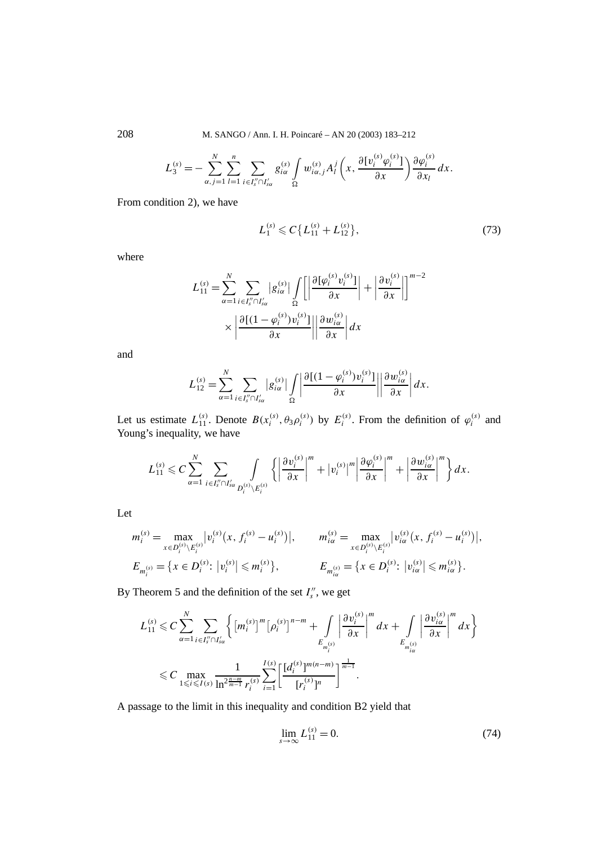208 M. SANGO / Ann. I. H. Poincaré – AN 20 (2003) 183–212

$$
L_3^{(s)} = -\sum_{\alpha,j=1}^N \sum_{l=1}^n \sum_{i \in I_s'' \cap I_{s\alpha}'} g_{i\alpha}^{(s)} \int\limits_{\Omega} w_{i\alpha,j}^{(s)} A_l^j \left(x, \frac{\partial [v_i^{(s)} \varphi_i^{(s)}]}{\partial x} \right) \frac{\partial \varphi_i^{(s)}}{\partial x_l} dx.
$$

From condition 2), we have

$$
L_1^{(s)} \leqslant C \{L_{11}^{(s)} + L_{12}^{(s)}\},\tag{73}
$$

where

$$
L_{11}^{(s)} = \sum_{\alpha=1}^{N} \sum_{i \in I_{s}'' \cap I_{s\alpha}'} |g_{i\alpha}^{(s)}| \int_{\Omega} \left[ \left| \frac{\partial [\varphi_i^{(s)} v_i^{(s)}]}{\partial x} \right| + \left| \frac{\partial v_i^{(s)}}{\partial x} \right| \right]^{m-2} \times \left| \frac{\partial [(1 - \varphi_i^{(s)}) v_i^{(s)}]}{\partial x} \right| \left| \frac{\partial w_{i\alpha}^{(s)}}{\partial x} \right| dx
$$

and

$$
L_{12}^{(s)} = \sum_{\alpha=1}^{N} \sum_{i \in I''_s \cap I'_{s\alpha}} |g_{i\alpha}^{(s)}| \int_{\Omega} \left| \frac{\partial [(1-\varphi_i^{(s)})v_i^{(s)}]}{\partial x} \right| \left| \frac{\partial w_{i\alpha}^{(s)}}{\partial x} \right| dx.
$$

Let us estimate  $L_{11}^{(s)}$ . Denote  $B(x_i^{(s)}, \theta_3 \rho_i^{(s)})$  by  $E_i^{(s)}$ . From the definition of  $\varphi_i^{(s)}$  and Young's inequality, we have

$$
L_{11}^{(s)} \leqslant C \sum_{\alpha=1}^N \sum_{i \in I_s'' \cap I_{\alpha\alpha}'} \int_{P_i^{(s)} \setminus E_i^{(s)}} \left\{ \left| \frac{\partial v_i^{(s)}}{\partial x} \right|^m + |v_i^{(s)}|^m \left| \frac{\partial \varphi_i^{(s)}}{\partial x} \right|^m + \left| \frac{\partial w_{i\alpha}^{(s)}}{\partial x} \right|^m \right\} dx.
$$

Let

$$
m_i^{(s)} = \max_{x \in D_i^{(s)} \setminus E_i^{(s)}} |v_i^{(s)}(x, f_i^{(s)} - u_i^{(s)})|, \qquad m_{i\alpha}^{(s)} = \max_{x \in D_i^{(s)} \setminus E_i^{(s)}} |v_{i\alpha}^{(s)}(x, f_i^{(s)} - u_i^{(s)})|,
$$
  

$$
E_{m_i^{(s)}} = \{x \in D_i^{(s)} : |v_i^{(s)}| \le m_i^{(s)}\}, \qquad E_{m_{i\alpha}^{(s)}} = \{x \in D_i^{(s)} : |v_{i\alpha}^{(s)}| \le m_{i\alpha}^{(s)}\}.
$$

By Theorem 5 and the definition of the set  $I_s''$ , we get

$$
L_{11}^{(s)} \leq C \sum_{\alpha=1}^{N} \sum_{i \in I''_{s} \cap I'_{\alpha}} \left\{ \left[ m_{i}^{(s)} \right]^{m} \left[ \rho_{i}^{(s)} \right]^{n-m} + \int \limits_{E_{m_{i}^{(s)}}} \left| \frac{\partial v_{i}^{(s)}}{\partial x} \right|^{m} dx + \int \limits_{E_{m_{i}^{(s)}}} \left| \frac{\partial v_{i\alpha}^{(s)}}{\partial x} \right|^{m} dx \right\}
$$
  

$$
\leq C \max_{1 \leq i \leq I(s)} \frac{1}{\ln^{2 \frac{n-m}{m-1}} r_{i}^{(s)}} \sum_{i=1}^{I(s)} \left[ \frac{[d_{i}^{(s)}]^{m(n-m)}}{[r_{i}^{(s)}]^{n}} \right]^{\frac{1}{m-1}}.
$$

A passage to the limit in this inequality and condition B2 yield that

$$
\lim_{s \to \infty} L_{11}^{(s)} = 0. \tag{74}
$$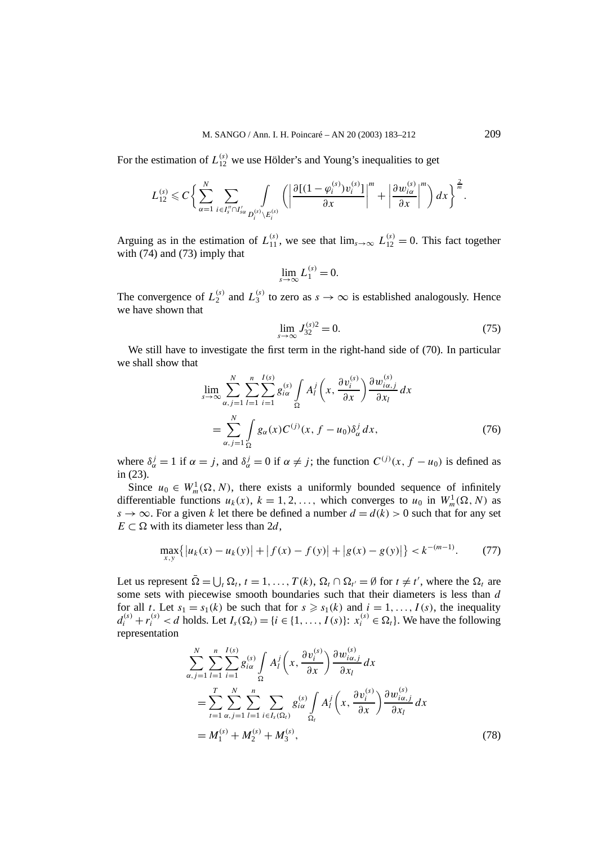For the estimation of  $L_{12}^{(s)}$  we use Hölder's and Young's inequalities to get

$$
L_{12}^{(s)} \leq C \bigg\{ \sum_{\alpha=1}^N \sum_{i \in I''_s \cap I'_{s\alpha}} \int_{D_i^{(s)} \setminus E_i^{(s)}} \bigg( \bigg| \frac{\partial [(1-\varphi_i^{(s)})v_i^{(s)}]}{\partial x} \bigg|^m + \bigg| \frac{\partial w_{i\alpha}^{(s)}}{\partial x} \bigg|^m \bigg) dx \bigg\}^{\frac{2}{m}}
$$

Arguing as in the estimation of  $L_{11}^{(s)}$ , we see that  $\lim_{s\to\infty} L_{12}^{(s)} = 0$ . This fact together with (74) and (73) imply that

$$
\lim_{s \to \infty} L_1^{(s)} = 0.
$$

The convergence of  $L_2^{(s)}$  and  $L_3^{(s)}$  to zero as  $s \to \infty$  is established analogously. Hence we have shown that

$$
\lim_{s \to \infty} J_{32}^{(s)2} = 0. \tag{75}
$$

We still have to investigate the first term in the right-hand side of (70). In particular we shall show that

$$
\lim_{s \to \infty} \sum_{\alpha, j=1}^{N} \sum_{l=1}^{n} \sum_{i=1}^{I(s)} g_{i\alpha}^{(s)} \int_{\Omega} A_l^j \left( x, \frac{\partial v_i^{(s)}}{\partial x} \right) \frac{\partial w_{i\alpha, j}}{\partial x_l} dx
$$
\n
$$
= \sum_{\alpha, j=1}^{N} \int_{\Omega} g_{\alpha}(x) C^{(j)}(x, f - u_0) \delta_{\alpha}^j dx, \tag{76}
$$

where  $\delta^j_\alpha = 1$  if  $\alpha = j$ , and  $\delta^j_\alpha = 0$  if  $\alpha \neq j$ ; the function  $C^{(j)}(x, f - u_0)$  is defined as in (23).

Since  $u_0 \in W_m^1(\Omega, N)$ , there exists a uniformly bounded sequence of infinitely differentiable functions  $u_k(x)$ ,  $k = 1, 2, \ldots$ , which converges to  $u_0$  in  $W_m^1(\Omega, N)$  as *s*  $\rightarrow \infty$ . For a given *k* let there be defined a number  $d = d(k) > 0$  such that for any set  $E \subset \Omega$  with its diameter less than 2*d*,

$$
\max_{x,y} \{|u_k(x) - u_k(y)| + |f(x) - f(y)| + |g(x) - g(y)|\} < k^{-(m-1)}.\tag{77}
$$

Let us represent  $\overline{\Omega} = \bigcup_t \Omega_t$ ,  $t = 1, ..., T(k)$ ,  $\Omega_t \cap \Omega_{t'} = \emptyset$  for  $t \neq t'$ , where the  $\Omega_t$  are some sets with piecewise smooth boundaries such that their diameters is less than *d* for all *t*. Let  $s_1 = s_1(k)$  be such that for  $s \ge s_1(k)$  and  $i = 1, ..., I(s)$ , the inequality  $d_i^{(s)} + r_i^{(s)} < d$  holds. Let  $I_s(\Omega_t) = \{i \in \{1, ..., I(s)\}: x_i^{(s)} \in \Omega_t\}$ . We have the following representation

$$
\sum_{\alpha,j=1}^{N} \sum_{l=1}^{n} \sum_{i=1}^{l(s)} g_{i\alpha}^{(s)} \int_{\Omega} A_l^j \left(x, \frac{\partial v_i^{(s)}}{\partial x}\right) \frac{\partial w_{i\alpha,j}^{(s)}}{\partial x_l} dx
$$
  
\n
$$
= \sum_{t=1}^{T} \sum_{\alpha,j=1}^{N} \sum_{l=1}^{n} \sum_{i \in I_s(\Omega_t)} g_{i\alpha}^{(s)} \int_{\Omega_t} A_l^j \left(x, \frac{\partial v_i^{(s)}}{\partial x}\right) \frac{\partial w_{i\alpha,j}^{(s)}}{\partial x_l} dx
$$
  
\n
$$
= M_1^{(s)} + M_2^{(s)} + M_3^{(s)}, \qquad (78)
$$

*.*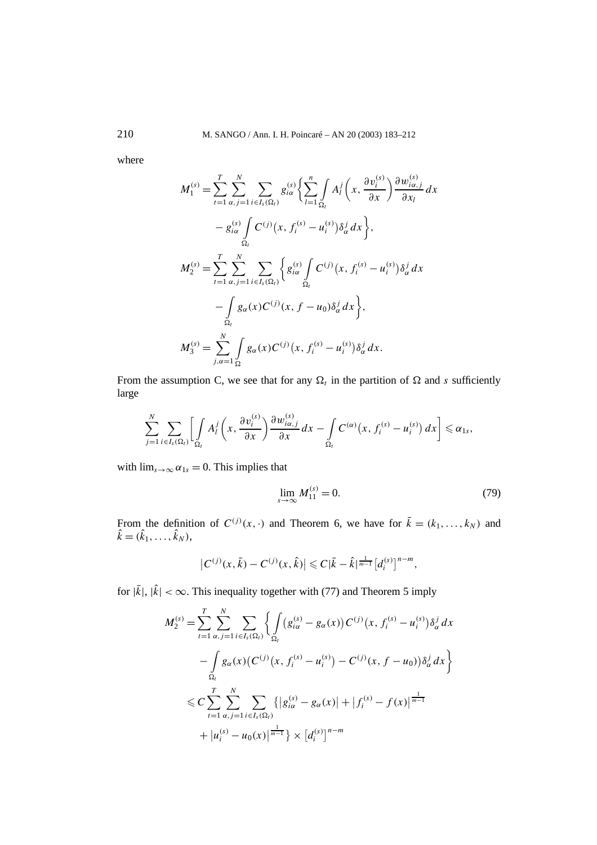where

$$
M_{1}^{(s)} = \sum_{t=1}^{T} \sum_{\alpha, j=1}^{N} \sum_{i \in I_{s}(\Omega_{t})} g_{i\alpha}^{(s)} \left\{ \sum_{l=1}^{n} \int_{\Omega_{t}} A_{l}^{j} \left( x, \frac{\partial v_{i}^{(s)}}{\partial x} \right) \frac{\partial w_{i\alpha, j}^{(s)}}{\partial x_{l}} dx \right. \\
\left. - g_{i\alpha}^{(s)} \int_{\Omega_{t}} C^{(j)} (x, f_{i}^{(s)} - u_{i}^{(s)}) \delta_{\alpha}^{j} dx \right\}, \\
M_{2}^{(s)} = \sum_{t=1}^{T} \sum_{\alpha, j=1}^{N} \sum_{i \in I_{s}(\Omega_{t})} \left\{ g_{i\alpha}^{(s)} \int_{\Omega_{t}} C^{(j)} (x, f_{i}^{(s)} - u_{i}^{(s)}) \delta_{\alpha}^{j} dx \right. \\
\left. - \int_{\Omega_{t}} g_{\alpha}(x) C^{(j)} (x, f - u_{0}) \delta_{\alpha}^{j} dx \right\}, \\
M_{3}^{(s)} = \sum_{j,\alpha=1}^{N} \int_{\Omega_{s}} g_{\alpha}(x) C^{(j)} (x, f_{i}^{(s)} - u_{i}^{(s)}) \delta_{\alpha}^{j} dx.
$$

From the assumption C, we see that for any  $\Omega_t$  in the partition of  $\Omega$  and *s* sufficiently large

$$
\sum_{j=1}^N \sum_{i \in I_s(\Omega_l)} \left[ \int\limits_{\Omega_l} A^j_l \left( x, \frac{\partial v_i^{(s)}}{\partial x} \right) \frac{\partial w_{i\alpha,j}^{(s)}}{\partial x} dx - \int\limits_{\Omega_l} C^{(\alpha)}(x, f_i^{(s)} - u_i^{(s)}) dx \right] \leq \alpha_{1s},
$$

with  $\lim_{s\to\infty} \alpha_{1s} = 0$ . This implies that

$$
\lim_{s \to \infty} M_{11}^{(s)} = 0. \tag{79}
$$

From the definition of  $C^{(j)}(x, \cdot)$  and Theorem 6, we have for  $\bar{k} = (k_1, \ldots, k_N)$  and  $\hat{k} = (\hat{k}_1, \ldots, \hat{k}_N),$ 

$$
\left|C^{(j)}(x,\bar{k})-C^{(j)}(x,\hat{k})\right|\leqslant C|\bar{k}-\hat{k}|^{\frac{1}{m-1}}\left[d_i^{(s)}\right]^{n-m},
$$

for  $|\vec{k}|$ ,  $|\hat{k}| < \infty$ . This inequality together with (77) and Theorem 5 imply

$$
M_2^{(s)} = \sum_{t=1}^T \sum_{\alpha, j=1}^N \sum_{i \in I_s(\Omega_t)} \left\{ \int_{\Omega_t} (g_{i\alpha}^{(s)} - g_{\alpha}(x)) C^{(j)}(x, f_i^{(s)} - u_i^{(s)}) \delta_{\alpha}^j dx \right\}
$$
  

$$
- \int_{\Omega_t} g_{\alpha}(x) (C^{(j)}(x, f_i^{(s)} - u_i^{(s)}) - C^{(j)}(x, f - u_0)) \delta_{\alpha}^j dx \right\}
$$
  

$$
\leq C \sum_{t=1}^T \sum_{\alpha, j=1}^N \sum_{i \in I_s(\Omega_t)} \left\{ |g_{i\alpha}^{(s)} - g_{\alpha}(x)| + |f_i^{(s)} - f(x)|^{\frac{1}{m-1}} \right\}
$$
  

$$
+ |u_i^{(s)} - u_0(x)|^{\frac{1}{m-1}} \right\} \times [d_i^{(s)}]^{n-m}
$$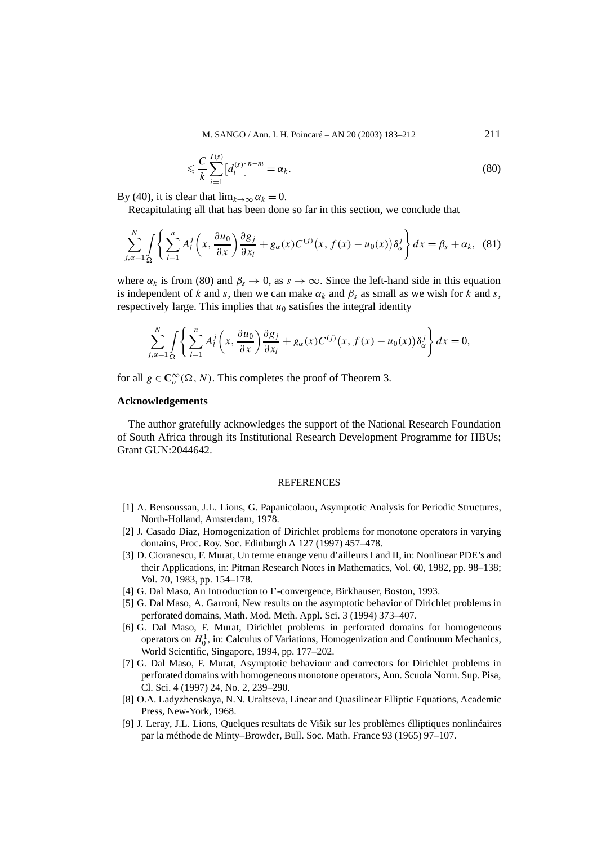M. SANGO / Ann. I. H. Poincaré – AN 20 (2003) 183–212 211

$$
\leqslant \frac{C}{k} \sum_{i=1}^{I(s)} \left[ d_i^{(s)} \right]^{n-m} = \alpha_k. \tag{80}
$$

By (40), it is clear that  $\lim_{k\to\infty} \alpha_k = 0$ .

Recapitulating all that has been done so far in this section, we conclude that

$$
\sum_{j,\alpha=1}^{N} \int_{\Omega} \left\{ \sum_{l=1}^{n} A_l^j \left( x, \frac{\partial u_0}{\partial x} \right) \frac{\partial g_j}{\partial x_l} + g_\alpha(x) C^{(j)}(x, f(x) - u_0(x)) \delta_\alpha^j \right\} dx = \beta_s + \alpha_k, \quad (81)
$$

where  $\alpha_k$  is from (80) and  $\beta_s \to 0$ , as  $s \to \infty$ . Since the left-hand side in this equation is independent of *k* and *s*, then we can make  $\alpha_k$  and  $\beta_s$  as small as we wish for *k* and *s*, respectively large. This implies that  $u_0$  satisfies the integral identity

$$
\sum_{j,\alpha=1}^N \int\limits_{\Omega} \left\{ \sum_{l=1}^n A_l^j \left( x, \frac{\partial u_0}{\partial x} \right) \frac{\partial g_j}{\partial x_l} + g_\alpha(x) C^{(j)}(x, f(x) - u_0(x)) \delta_\alpha^j \right\} dx = 0,
$$

for all  $g \in \mathbb{C}_o^\infty(\Omega, N)$ . This completes the proof of Theorem 3.

#### **Acknowledgements**

The author gratefully acknowledges the support of the National Research Foundation of South Africa through its Institutional Research Development Programme for HBUs; Grant GUN:2044642.

## **REFERENCES**

- [1] A. Bensoussan, J.L. Lions, G. Papanicolaou, Asymptotic Analysis for Periodic Structures, North-Holland, Amsterdam, 1978.
- [2] J. Casado Diaz, Homogenization of Dirichlet problems for monotone operators in varying domains, Proc. Roy. Soc. Edinburgh A 127 (1997) 457–478.
- [3] D. Cioranescu, F. Murat, Un terme etrange venu d'ailleurs I and II, in: Nonlinear PDE's and their Applications, in: Pitman Research Notes in Mathematics, Vol. 60, 1982, pp. 98–138; Vol. 70, 1983, pp. 154–178.
- [4] G. Dal Maso, An Introduction to *D*-convergence, Birkhauser, Boston, 1993.
- [5] G. Dal Maso, A. Garroni, New results on the asymptotic behavior of Dirichlet problems in perforated domains, Math. Mod. Meth. Appl. Sci. 3 (1994) 373–407.
- [6] G. Dal Maso, F. Murat, Dirichlet problems in perforated domains for homogeneous operators on  $H_0^1$ , in: Calculus of Variations, Homogenization and Continuum Mechanics, World Scientific, Singapore, 1994, pp. 177–202.
- [7] G. Dal Maso, F. Murat, Asymptotic behaviour and correctors for Dirichlet problems in perforated domains with homogeneous monotone operators, Ann. Scuola Norm. Sup. Pisa, Cl. Sci. 4 (1997) 24, No. 2, 239–290.
- [8] O.A. Ladyzhenskaya, N.N. Uraltseva, Linear and Quasilinear Elliptic Equations, Academic Press, New-York, 1968.
- [9] J. Leray, J.L. Lions, Quelques resultats de Visik sur les problèmes élliptiques nonlinéaires ˆ par la méthode de Minty–Browder, Bull. Soc. Math. France 93 (1965) 97–107.